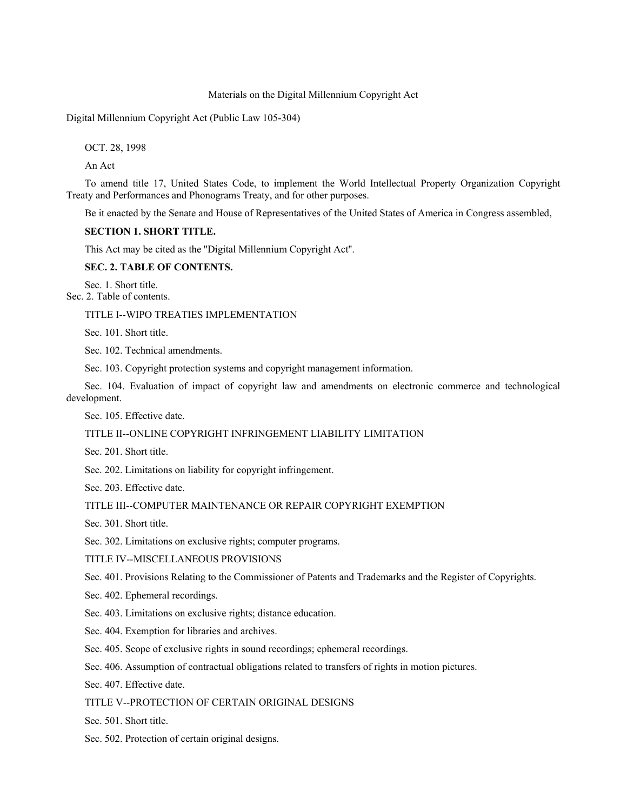### Materials on the Digital Millennium Copyright Act

Digital Millennium Copyright Act (Public Law 105-304)

OCT. 28, 1998

An Act

To amend title 17, United States Code, to implement the World Intellectual Property Organization Copyright Treaty and Performances and Phonograms Treaty, and for other purposes.

Be it enacted by the Senate and House of Representatives of the United States of America in Congress assembled,

## **SECTION 1. SHORT TITLE.**

This Act may be cited as the ''Digital Millennium Copyright Act''.

### **SEC. 2. TABLE OF CONTENTS.**

Sec. 1. Short title. Sec. 2. Table of contents.

## TITLE I--WIPO TREATIES IMPLEMENTATION

Sec. 101. Short title.

Sec. 102. Technical amendments.

Sec. 103. Copyright protection systems and copyright management information.

Sec. 104. Evaluation of impact of copyright law and amendments on electronic commerce and technological development.

Sec. 105. Effective date.

# TITLE II--ONLINE COPYRIGHT INFRINGEMENT LIABILITY LIMITATION

Sec. 201. Short title.

Sec. 202. Limitations on liability for copyright infringement.

Sec. 203. Effective date.

## TITLE III--COMPUTER MAINTENANCE OR REPAIR COPYRIGHT EXEMPTION

Sec. 301. Short title.

Sec. 302. Limitations on exclusive rights; computer programs.

TITLE IV--MISCELLANEOUS PROVISIONS

Sec. 401. Provisions Relating to the Commissioner of Patents and Trademarks and the Register of Copyrights.

Sec. 402. Ephemeral recordings.

Sec. 403. Limitations on exclusive rights; distance education.

- Sec. 404. Exemption for libraries and archives.
- Sec. 405. Scope of exclusive rights in sound recordings; ephemeral recordings.

Sec. 406. Assumption of contractual obligations related to transfers of rights in motion pictures.

Sec. 407. Effective date.

TITLE V--PROTECTION OF CERTAIN ORIGINAL DESIGNS

Sec. 501. Short title.

Sec. 502. Protection of certain original designs.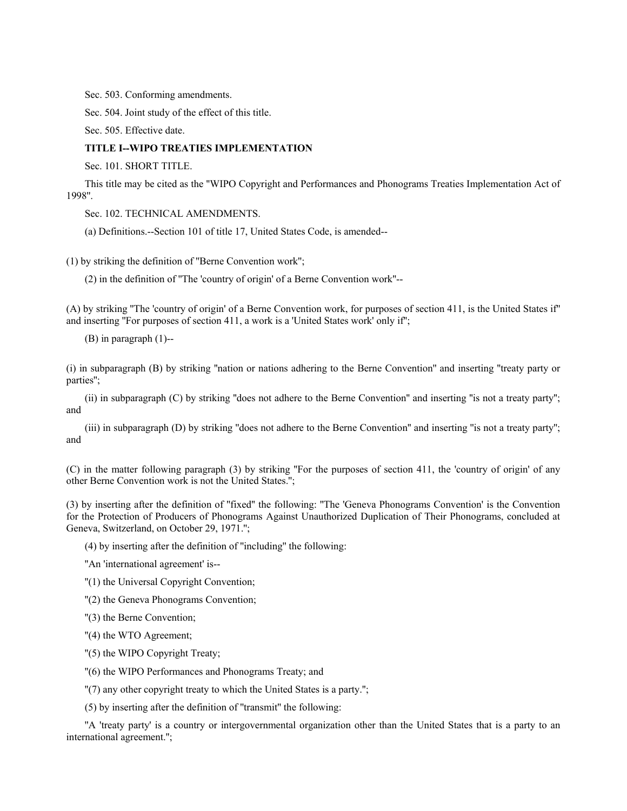Sec. 503. Conforming amendments.

Sec. 504. Joint study of the effect of this title.

Sec. 505. Effective date.

### **TITLE I--WIPO TREATIES IMPLEMENTATION**

Sec. 101. SHORT TITLE.

This title may be cited as the ''WIPO Copyright and Performances and Phonograms Treaties Implementation Act of 1998''.

Sec. 102. TECHNICAL AMENDMENTS.

(a) Definitions.--Section 101 of title 17, United States Code, is amended--

(1) by striking the definition of ''Berne Convention work'';

(2) in the definition of ''The 'country of origin' of a Berne Convention work''--

(A) by striking ''The 'country of origin' of a Berne Convention work, for purposes of section 411, is the United States if'' and inserting ''For purposes of section 411, a work is a 'United States work' only if'';

(B) in paragraph (1)--

(i) in subparagraph (B) by striking ''nation or nations adhering to the Berne Convention'' and inserting ''treaty party or parties'';

(ii) in subparagraph (C) by striking ''does not adhere to the Berne Convention'' and inserting ''is not a treaty party''; and

(iii) in subparagraph (D) by striking ''does not adhere to the Berne Convention'' and inserting ''is not a treaty party''; and

(C) in the matter following paragraph (3) by striking ''For the purposes of section 411, the 'country of origin' of any other Berne Convention work is not the United States.'';

(3) by inserting after the definition of ''fixed'' the following: ''The 'Geneva Phonograms Convention' is the Convention for the Protection of Producers of Phonograms Against Unauthorized Duplication of Their Phonograms, concluded at Geneva, Switzerland, on October 29, 1971.'';

(4) by inserting after the definition of ''including'' the following:

''An 'international agreement' is--

''(1) the Universal Copyright Convention;

''(2) the Geneva Phonograms Convention;

''(3) the Berne Convention;

''(4) the WTO Agreement;

''(5) the WIPO Copyright Treaty;

''(6) the WIPO Performances and Phonograms Treaty; and

''(7) any other copyright treaty to which the United States is a party.'';

(5) by inserting after the definition of ''transmit'' the following:

''A 'treaty party' is a country or intergovernmental organization other than the United States that is a party to an international agreement.'';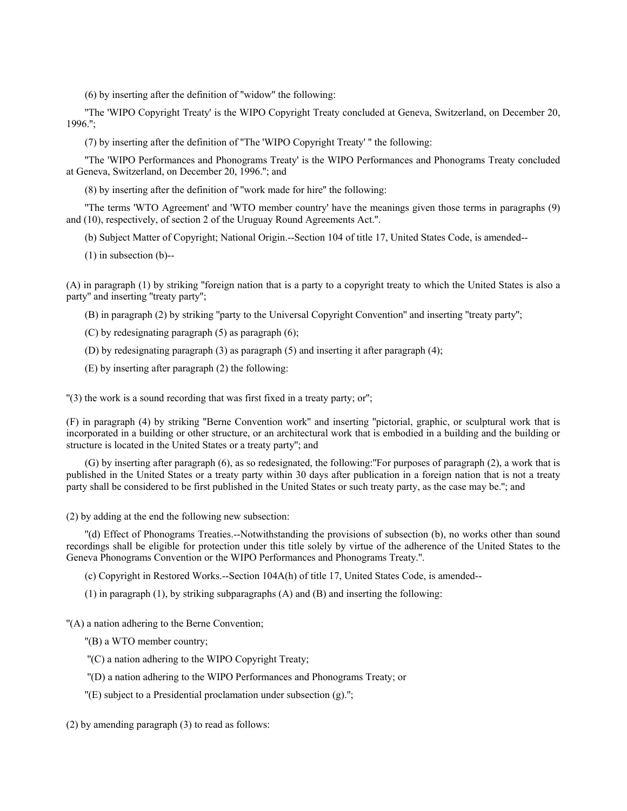(6) by inserting after the definition of ''widow'' the following:

''The 'WIPO Copyright Treaty' is the WIPO Copyright Treaty concluded at Geneva, Switzerland, on December 20, 1996.'';

(7) by inserting after the definition of ''The 'WIPO Copyright Treaty' '' the following:

''The 'WIPO Performances and Phonograms Treaty' is the WIPO Performances and Phonograms Treaty concluded at Geneva, Switzerland, on December 20, 1996.''; and

(8) by inserting after the definition of ''work made for hire'' the following:

''The terms 'WTO Agreement' and 'WTO member country' have the meanings given those terms in paragraphs (9) and (10), respectively, of section 2 of the Uruguay Round Agreements Act.''.

(b) Subject Matter of Copyright; National Origin.--Section 104 of title 17, United States Code, is amended--

(1) in subsection (b)--

(A) in paragraph (1) by striking ''foreign nation that is a party to a copyright treaty to which the United States is also a party'' and inserting ''treaty party'';

(B) in paragraph (2) by striking ''party to the Universal Copyright Convention'' and inserting ''treaty party'';

(C) by redesignating paragraph (5) as paragraph (6);

(D) by redesignating paragraph (3) as paragraph (5) and inserting it after paragraph (4);

(E) by inserting after paragraph (2) the following:

''(3) the work is a sound recording that was first fixed in a treaty party; or'';

(F) in paragraph (4) by striking ''Berne Convention work'' and inserting ''pictorial, graphic, or sculptural work that is incorporated in a building or other structure, or an architectural work that is embodied in a building and the building or structure is located in the United States or a treaty party''; and

(G) by inserting after paragraph (6), as so redesignated, the following:''For purposes of paragraph (2), a work that is published in the United States or a treaty party within 30 days after publication in a foreign nation that is not a treaty party shall be considered to be first published in the United States or such treaty party, as the case may be.''; and

(2) by adding at the end the following new subsection:

''(d) Effect of Phonograms Treaties.--Notwithstanding the provisions of subsection (b), no works other than sound recordings shall be eligible for protection under this title solely by virtue of the adherence of the United States to the Geneva Phonograms Convention or the WIPO Performances and Phonograms Treaty.''.

(c) Copyright in Restored Works.--Section 104A(h) of title 17, United States Code, is amended--

(1) in paragraph (1), by striking subparagraphs (A) and (B) and inserting the following:

''(A) a nation adhering to the Berne Convention;

''(B) a WTO member country;

''(C) a nation adhering to the WIPO Copyright Treaty;

''(D) a nation adhering to the WIPO Performances and Phonograms Treaty; or

 $'(E)$  subject to a Presidential proclamation under subsection  $(g)$ .";

(2) by amending paragraph (3) to read as follows: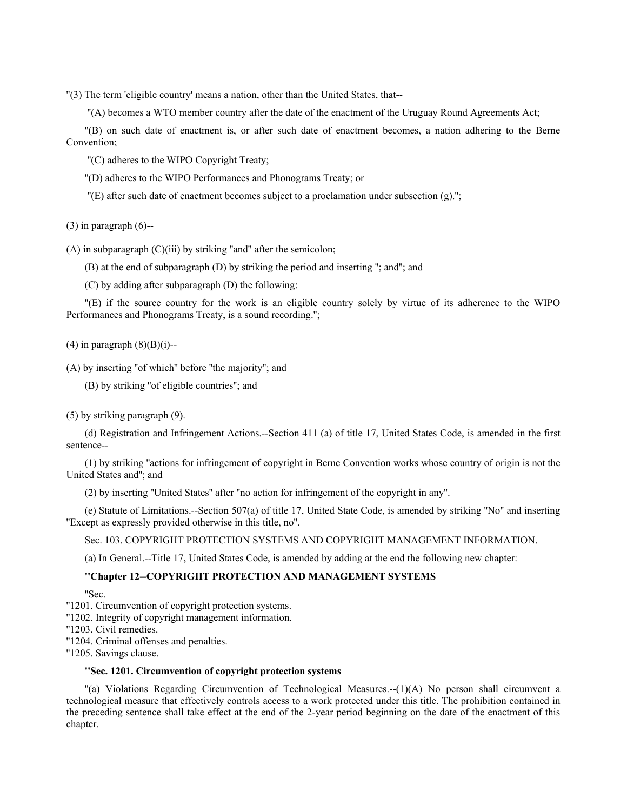''(3) The term 'eligible country' means a nation, other than the United States, that--

''(A) becomes a WTO member country after the date of the enactment of the Uruguay Round Agreements Act;

''(B) on such date of enactment is, or after such date of enactment becomes, a nation adhering to the Berne Convention;

''(C) adheres to the WIPO Copyright Treaty;

''(D) adheres to the WIPO Performances and Phonograms Treaty; or

''(E) after such date of enactment becomes subject to a proclamation under subsection (g).'';

 $(3)$  in paragraph  $(6)$ --

 $(A)$  in subparagraph  $(C)(iii)$  by striking "and" after the semicolon;

(B) at the end of subparagraph (D) by striking the period and inserting ''; and''; and

(C) by adding after subparagraph (D) the following:

''(E) if the source country for the work is an eligible country solely by virtue of its adherence to the WIPO Performances and Phonograms Treaty, is a sound recording.'';

 $(4)$  in paragraph  $(8)(B)(i)$ --

(A) by inserting ''of which'' before ''the majority''; and

(B) by striking ''of eligible countries''; and

(5) by striking paragraph (9).

(d) Registration and Infringement Actions.--Section 411 (a) of title 17, United States Code, is amended in the first sentence--

(1) by striking ''actions for infringement of copyright in Berne Convention works whose country of origin is not the United States and''; and

(2) by inserting ''United States'' after ''no action for infringement of the copyright in any''.

(e) Statute of Limitations.--Section 507(a) of title 17, United State Code, is amended by striking ''No'' and inserting ''Except as expressly provided otherwise in this title, no''.

Sec. 103. COPYRIGHT PROTECTION SYSTEMS AND COPYRIGHT MANAGEMENT INFORMATION.

(a) In General.--Title 17, United States Code, is amended by adding at the end the following new chapter:

### **''Chapter 12--COPYRIGHT PROTECTION AND MANAGEMENT SYSTEMS**

''Sec.

''1201. Circumvention of copyright protection systems.

''1202. Integrity of copyright management information.

''1203. Civil remedies.

''1204. Criminal offenses and penalties.

''1205. Savings clause.

# **''Sec. 1201. Circumvention of copyright protection systems**

''(a) Violations Regarding Circumvention of Technological Measures.--(1)(A) No person shall circumvent a technological measure that effectively controls access to a work protected under this title. The prohibition contained in the preceding sentence shall take effect at the end of the 2-year period beginning on the date of the enactment of this chapter.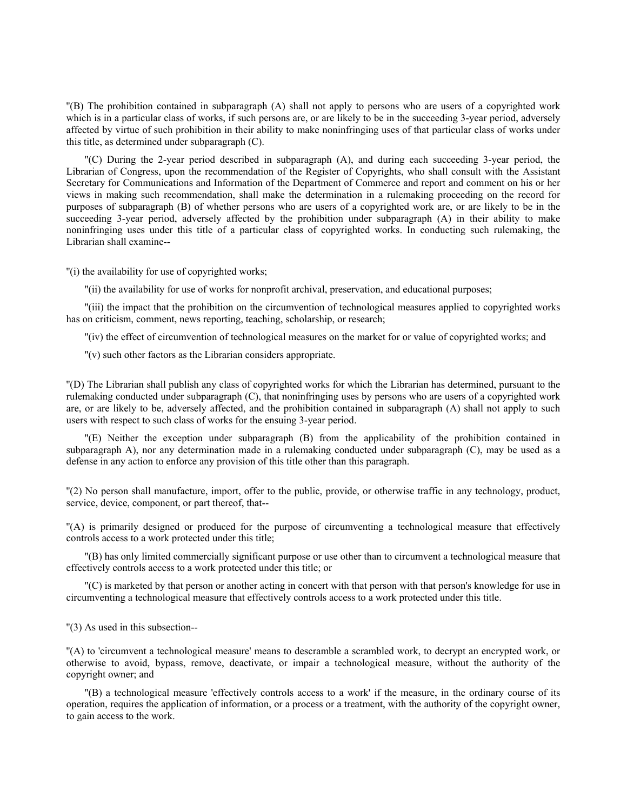''(B) The prohibition contained in subparagraph (A) shall not apply to persons who are users of a copyrighted work which is in a particular class of works, if such persons are, or are likely to be in the succeeding 3-year period, adversely affected by virtue of such prohibition in their ability to make noninfringing uses of that particular class of works under this title, as determined under subparagraph (C).

''(C) During the 2-year period described in subparagraph (A), and during each succeeding 3-year period, the Librarian of Congress, upon the recommendation of the Register of Copyrights, who shall consult with the Assistant Secretary for Communications and Information of the Department of Commerce and report and comment on his or her views in making such recommendation, shall make the determination in a rulemaking proceeding on the record for purposes of subparagraph (B) of whether persons who are users of a copyrighted work are, or are likely to be in the succeeding 3-year period, adversely affected by the prohibition under subparagraph (A) in their ability to make noninfringing uses under this title of a particular class of copyrighted works. In conducting such rulemaking, the Librarian shall examine--

''(i) the availability for use of copyrighted works;

''(ii) the availability for use of works for nonprofit archival, preservation, and educational purposes;

''(iii) the impact that the prohibition on the circumvention of technological measures applied to copyrighted works has on criticism, comment, news reporting, teaching, scholarship, or research;

''(iv) the effect of circumvention of technological measures on the market for or value of copyrighted works; and

''(v) such other factors as the Librarian considers appropriate.

''(D) The Librarian shall publish any class of copyrighted works for which the Librarian has determined, pursuant to the rulemaking conducted under subparagraph (C), that noninfringing uses by persons who are users of a copyrighted work are, or are likely to be, adversely affected, and the prohibition contained in subparagraph (A) shall not apply to such users with respect to such class of works for the ensuing 3-year period.

''(E) Neither the exception under subparagraph (B) from the applicability of the prohibition contained in subparagraph A), nor any determination made in a rulemaking conducted under subparagraph (C), may be used as a defense in any action to enforce any provision of this title other than this paragraph.

''(2) No person shall manufacture, import, offer to the public, provide, or otherwise traffic in any technology, product, service, device, component, or part thereof, that--

''(A) is primarily designed or produced for the purpose of circumventing a technological measure that effectively controls access to a work protected under this title;

''(B) has only limited commercially significant purpose or use other than to circumvent a technological measure that effectively controls access to a work protected under this title; or

''(C) is marketed by that person or another acting in concert with that person with that person's knowledge for use in circumventing a technological measure that effectively controls access to a work protected under this title.

''(3) As used in this subsection--

''(A) to 'circumvent a technological measure' means to descramble a scrambled work, to decrypt an encrypted work, or otherwise to avoid, bypass, remove, deactivate, or impair a technological measure, without the authority of the copyright owner; and

''(B) a technological measure 'effectively controls access to a work' if the measure, in the ordinary course of its operation, requires the application of information, or a process or a treatment, with the authority of the copyright owner, to gain access to the work.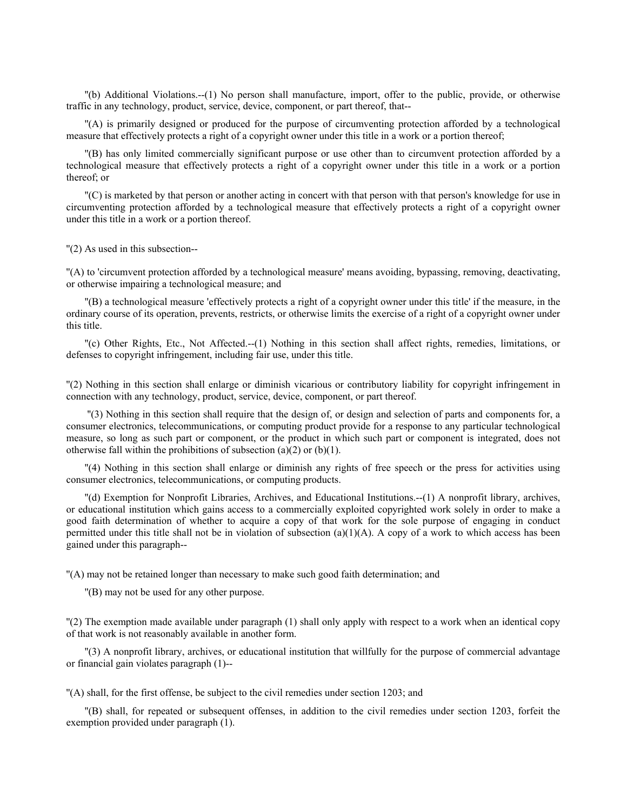''(b) Additional Violations.--(1) No person shall manufacture, import, offer to the public, provide, or otherwise traffic in any technology, product, service, device, component, or part thereof, that--

''(A) is primarily designed or produced for the purpose of circumventing protection afforded by a technological measure that effectively protects a right of a copyright owner under this title in a work or a portion thereof;

''(B) has only limited commercially significant purpose or use other than to circumvent protection afforded by a technological measure that effectively protects a right of a copyright owner under this title in a work or a portion thereof; or

''(C) is marketed by that person or another acting in concert with that person with that person's knowledge for use in circumventing protection afforded by a technological measure that effectively protects a right of a copyright owner under this title in a work or a portion thereof.

''(2) As used in this subsection--

''(A) to 'circumvent protection afforded by a technological measure' means avoiding, bypassing, removing, deactivating, or otherwise impairing a technological measure; and

''(B) a technological measure 'effectively protects a right of a copyright owner under this title' if the measure, in the ordinary course of its operation, prevents, restricts, or otherwise limits the exercise of a right of a copyright owner under this title.

''(c) Other Rights, Etc., Not Affected.--(1) Nothing in this section shall affect rights, remedies, limitations, or defenses to copyright infringement, including fair use, under this title.

''(2) Nothing in this section shall enlarge or diminish vicarious or contributory liability for copyright infringement in connection with any technology, product, service, device, component, or part thereof.

 ''(3) Nothing in this section shall require that the design of, or design and selection of parts and components for, a consumer electronics, telecommunications, or computing product provide for a response to any particular technological measure, so long as such part or component, or the product in which such part or component is integrated, does not otherwise fall within the prohibitions of subsection (a)(2) or (b)(1).

''(4) Nothing in this section shall enlarge or diminish any rights of free speech or the press for activities using consumer electronics, telecommunications, or computing products.

''(d) Exemption for Nonprofit Libraries, Archives, and Educational Institutions.--(1) A nonprofit library, archives, or educational institution which gains access to a commercially exploited copyrighted work solely in order to make a good faith determination of whether to acquire a copy of that work for the sole purpose of engaging in conduct permitted under this title shall not be in violation of subsection  $(a)(1)(A)$ . A copy of a work to which access has been gained under this paragraph--

''(A) may not be retained longer than necessary to make such good faith determination; and

''(B) may not be used for any other purpose.

''(2) The exemption made available under paragraph (1) shall only apply with respect to a work when an identical copy of that work is not reasonably available in another form.

''(3) A nonprofit library, archives, or educational institution that willfully for the purpose of commercial advantage or financial gain violates paragraph (1)--

''(A) shall, for the first offense, be subject to the civil remedies under section 1203; and

''(B) shall, for repeated or subsequent offenses, in addition to the civil remedies under section 1203, forfeit the exemption provided under paragraph (1).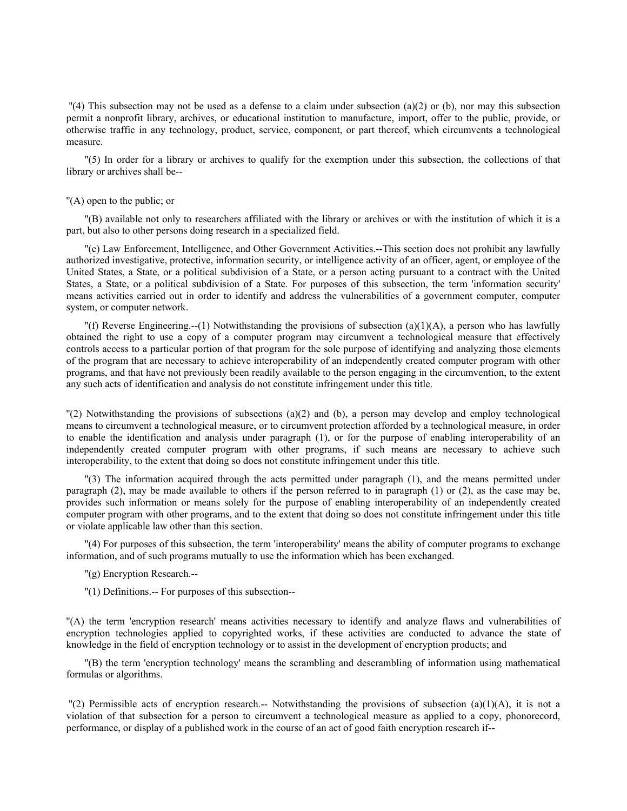$''(4)$  This subsection may not be used as a defense to a claim under subsection (a)(2) or (b), nor may this subsection permit a nonprofit library, archives, or educational institution to manufacture, import, offer to the public, provide, or otherwise traffic in any technology, product, service, component, or part thereof, which circumvents a technological measure.

''(5) In order for a library or archives to qualify for the exemption under this subsection, the collections of that library or archives shall be--

#### ''(A) open to the public; or

''(B) available not only to researchers affiliated with the library or archives or with the institution of which it is a part, but also to other persons doing research in a specialized field.

''(e) Law Enforcement, Intelligence, and Other Government Activities.--This section does not prohibit any lawfully authorized investigative, protective, information security, or intelligence activity of an officer, agent, or employee of the United States, a State, or a political subdivision of a State, or a person acting pursuant to a contract with the United States, a State, or a political subdivision of a State. For purposes of this subsection, the term 'information security' means activities carried out in order to identify and address the vulnerabilities of a government computer, computer system, or computer network.

"(f) Reverse Engineering.--(1) Notwithstanding the provisions of subsection (a)(1)(A), a person who has lawfully obtained the right to use a copy of a computer program may circumvent a technological measure that effectively controls access to a particular portion of that program for the sole purpose of identifying and analyzing those elements of the program that are necessary to achieve interoperability of an independently created computer program with other programs, and that have not previously been readily available to the person engaging in the circumvention, to the extent any such acts of identification and analysis do not constitute infringement under this title.

 $\Gamma(2)$  Notwithstanding the provisions of subsections (a)(2) and (b), a person may develop and employ technological means to circumvent a technological measure, or to circumvent protection afforded by a technological measure, in order to enable the identification and analysis under paragraph (1), or for the purpose of enabling interoperability of an independently created computer program with other programs, if such means are necessary to achieve such interoperability, to the extent that doing so does not constitute infringement under this title.

''(3) The information acquired through the acts permitted under paragraph (1), and the means permitted under paragraph (2), may be made available to others if the person referred to in paragraph (1) or (2), as the case may be, provides such information or means solely for the purpose of enabling interoperability of an independently created computer program with other programs, and to the extent that doing so does not constitute infringement under this title or violate applicable law other than this section.

''(4) For purposes of this subsection, the term 'interoperability' means the ability of computer programs to exchange information, and of such programs mutually to use the information which has been exchanged.

''(g) Encryption Research.--

''(1) Definitions.-- For purposes of this subsection--

''(A) the term 'encryption research' means activities necessary to identify and analyze flaws and vulnerabilities of encryption technologies applied to copyrighted works, if these activities are conducted to advance the state of knowledge in the field of encryption technology or to assist in the development of encryption products; and

''(B) the term 'encryption technology' means the scrambling and descrambling of information using mathematical formulas or algorithms.

 $'$ (2) Permissible acts of encryption research.-- Notwithstanding the provisions of subsection (a)(1)(A), it is not a violation of that subsection for a person to circumvent a technological measure as applied to a copy, phonorecord, performance, or display of a published work in the course of an act of good faith encryption research if--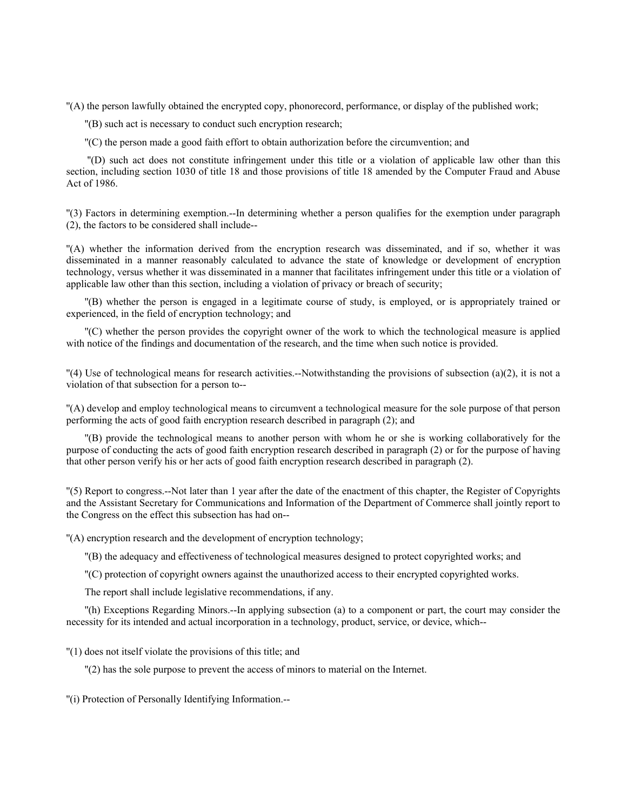''(A) the person lawfully obtained the encrypted copy, phonorecord, performance, or display of the published work;

''(B) such act is necessary to conduct such encryption research;

''(C) the person made a good faith effort to obtain authorization before the circumvention; and

 ''(D) such act does not constitute infringement under this title or a violation of applicable law other than this section, including section 1030 of title 18 and those provisions of title 18 amended by the Computer Fraud and Abuse Act of 1986.

''(3) Factors in determining exemption.--In determining whether a person qualifies for the exemption under paragraph (2), the factors to be considered shall include--

''(A) whether the information derived from the encryption research was disseminated, and if so, whether it was disseminated in a manner reasonably calculated to advance the state of knowledge or development of encryption technology, versus whether it was disseminated in a manner that facilitates infringement under this title or a violation of applicable law other than this section, including a violation of privacy or breach of security;

''(B) whether the person is engaged in a legitimate course of study, is employed, or is appropriately trained or experienced, in the field of encryption technology; and

''(C) whether the person provides the copyright owner of the work to which the technological measure is applied with notice of the findings and documentation of the research, and the time when such notice is provided.

 $\Gamma$ (4) Use of technological means for research activities.--Notwithstanding the provisions of subsection (a)(2), it is not a violation of that subsection for a person to--

''(A) develop and employ technological means to circumvent a technological measure for the sole purpose of that person performing the acts of good faith encryption research described in paragraph (2); and

''(B) provide the technological means to another person with whom he or she is working collaboratively for the purpose of conducting the acts of good faith encryption research described in paragraph (2) or for the purpose of having that other person verify his or her acts of good faith encryption research described in paragraph (2).

''(5) Report to congress.--Not later than 1 year after the date of the enactment of this chapter, the Register of Copyrights and the Assistant Secretary for Communications and Information of the Department of Commerce shall jointly report to the Congress on the effect this subsection has had on--

''(A) encryption research and the development of encryption technology;

''(B) the adequacy and effectiveness of technological measures designed to protect copyrighted works; and

''(C) protection of copyright owners against the unauthorized access to their encrypted copyrighted works.

The report shall include legislative recommendations, if any.

''(h) Exceptions Regarding Minors.--In applying subsection (a) to a component or part, the court may consider the necessity for its intended and actual incorporation in a technology, product, service, or device, which--

''(1) does not itself violate the provisions of this title; and

''(2) has the sole purpose to prevent the access of minors to material on the Internet.

''(i) Protection of Personally Identifying Information.--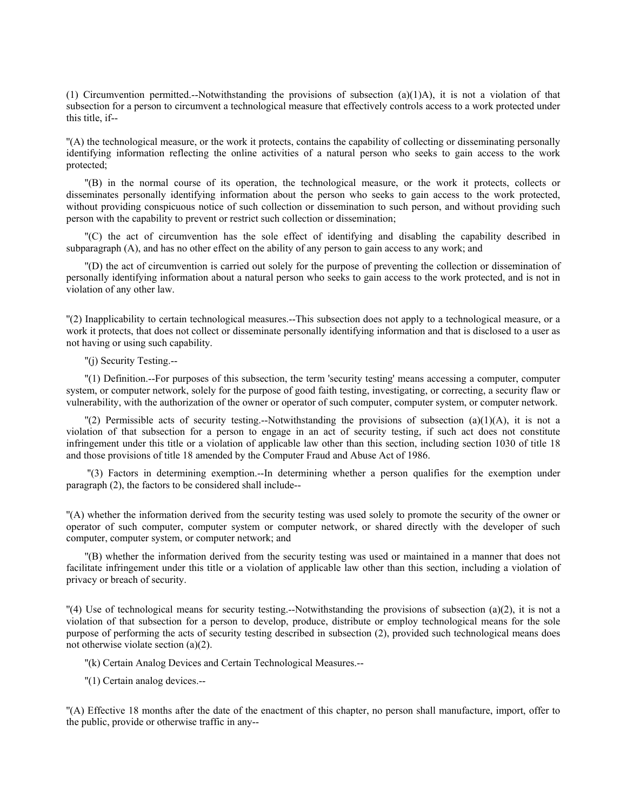(1) Circumvention permitted.--Notwithstanding the provisions of subsection (a)(1)A), it is not a violation of that subsection for a person to circumvent a technological measure that effectively controls access to a work protected under this title, if--

''(A) the technological measure, or the work it protects, contains the capability of collecting or disseminating personally identifying information reflecting the online activities of a natural person who seeks to gain access to the work protected;

''(B) in the normal course of its operation, the technological measure, or the work it protects, collects or disseminates personally identifying information about the person who seeks to gain access to the work protected, without providing conspicuous notice of such collection or dissemination to such person, and without providing such person with the capability to prevent or restrict such collection or dissemination;

''(C) the act of circumvention has the sole effect of identifying and disabling the capability described in subparagraph (A), and has no other effect on the ability of any person to gain access to any work; and

''(D) the act of circumvention is carried out solely for the purpose of preventing the collection or dissemination of personally identifying information about a natural person who seeks to gain access to the work protected, and is not in violation of any other law.

''(2) Inapplicability to certain technological measures.--This subsection does not apply to a technological measure, or a work it protects, that does not collect or disseminate personally identifying information and that is disclosed to a user as not having or using such capability.

''(j) Security Testing.--

''(1) Definition.--For purposes of this subsection, the term 'security testing' means accessing a computer, computer system, or computer network, solely for the purpose of good faith testing, investigating, or correcting, a security flaw or vulnerability, with the authorization of the owner or operator of such computer, computer system, or computer network.

 $\binom{n}{2}$  Permissible acts of security testing.--Notwithstanding the provisions of subsection (a)(1)(A), it is not a violation of that subsection for a person to engage in an act of security testing, if such act does not constitute infringement under this title or a violation of applicable law other than this section, including section 1030 of title 18 and those provisions of title 18 amended by the Computer Fraud and Abuse Act of 1986.

 ''(3) Factors in determining exemption.--In determining whether a person qualifies for the exemption under paragraph (2), the factors to be considered shall include--

''(A) whether the information derived from the security testing was used solely to promote the security of the owner or operator of such computer, computer system or computer network, or shared directly with the developer of such computer, computer system, or computer network; and

''(B) whether the information derived from the security testing was used or maintained in a manner that does not facilitate infringement under this title or a violation of applicable law other than this section, including a violation of privacy or breach of security.

 $\Gamma(4)$  Use of technological means for security testing.--Notwithstanding the provisions of subsection (a)(2), it is not a violation of that subsection for a person to develop, produce, distribute or employ technological means for the sole purpose of performing the acts of security testing described in subsection (2), provided such technological means does not otherwise violate section (a)(2).

''(k) Certain Analog Devices and Certain Technological Measures.--

''(1) Certain analog devices.--

''(A) Effective 18 months after the date of the enactment of this chapter, no person shall manufacture, import, offer to the public, provide or otherwise traffic in any--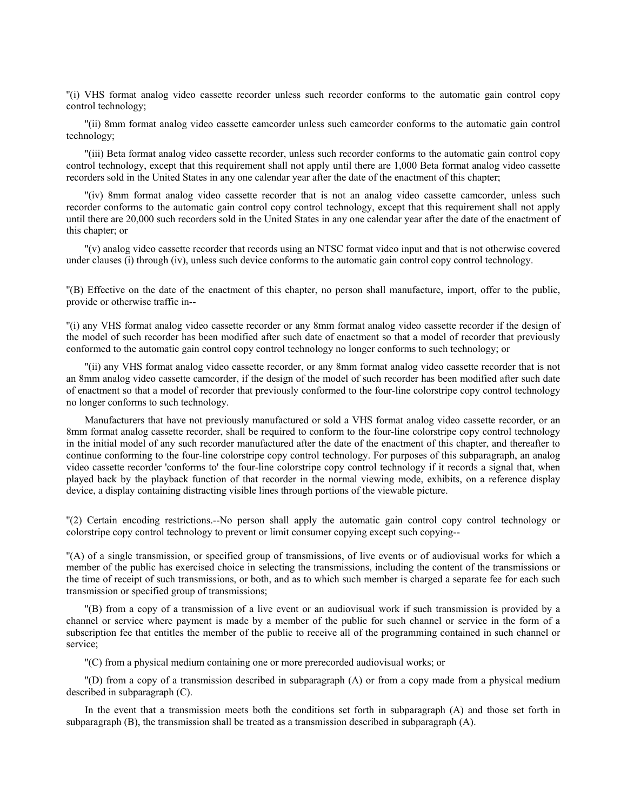''(i) VHS format analog video cassette recorder unless such recorder conforms to the automatic gain control copy control technology;

''(ii) 8mm format analog video cassette camcorder unless such camcorder conforms to the automatic gain control technology;

''(iii) Beta format analog video cassette recorder, unless such recorder conforms to the automatic gain control copy control technology, except that this requirement shall not apply until there are 1,000 Beta format analog video cassette recorders sold in the United States in any one calendar year after the date of the enactment of this chapter;

''(iv) 8mm format analog video cassette recorder that is not an analog video cassette camcorder, unless such recorder conforms to the automatic gain control copy control technology, except that this requirement shall not apply until there are 20,000 such recorders sold in the United States in any one calendar year after the date of the enactment of this chapter; or

''(v) analog video cassette recorder that records using an NTSC format video input and that is not otherwise covered under clauses (i) through (iv), unless such device conforms to the automatic gain control copy control technology.

''(B) Effective on the date of the enactment of this chapter, no person shall manufacture, import, offer to the public, provide or otherwise traffic in--

''(i) any VHS format analog video cassette recorder or any 8mm format analog video cassette recorder if the design of the model of such recorder has been modified after such date of enactment so that a model of recorder that previously conformed to the automatic gain control copy control technology no longer conforms to such technology; or

''(ii) any VHS format analog video cassette recorder, or any 8mm format analog video cassette recorder that is not an 8mm analog video cassette camcorder, if the design of the model of such recorder has been modified after such date of enactment so that a model of recorder that previously conformed to the four-line colorstripe copy control technology no longer conforms to such technology.

Manufacturers that have not previously manufactured or sold a VHS format analog video cassette recorder, or an 8mm format analog cassette recorder, shall be required to conform to the four-line colorstripe copy control technology in the initial model of any such recorder manufactured after the date of the enactment of this chapter, and thereafter to continue conforming to the four-line colorstripe copy control technology. For purposes of this subparagraph, an analog video cassette recorder 'conforms to' the four-line colorstripe copy control technology if it records a signal that, when played back by the playback function of that recorder in the normal viewing mode, exhibits, on a reference display device, a display containing distracting visible lines through portions of the viewable picture.

''(2) Certain encoding restrictions.--No person shall apply the automatic gain control copy control technology or colorstripe copy control technology to prevent or limit consumer copying except such copying--

''(A) of a single transmission, or specified group of transmissions, of live events or of audiovisual works for which a member of the public has exercised choice in selecting the transmissions, including the content of the transmissions or the time of receipt of such transmissions, or both, and as to which such member is charged a separate fee for each such transmission or specified group of transmissions;

''(B) from a copy of a transmission of a live event or an audiovisual work if such transmission is provided by a channel or service where payment is made by a member of the public for such channel or service in the form of a subscription fee that entitles the member of the public to receive all of the programming contained in such channel or service;

''(C) from a physical medium containing one or more prerecorded audiovisual works; or

''(D) from a copy of a transmission described in subparagraph (A) or from a copy made from a physical medium described in subparagraph (C).

In the event that a transmission meets both the conditions set forth in subparagraph (A) and those set forth in subparagraph (B), the transmission shall be treated as a transmission described in subparagraph (A).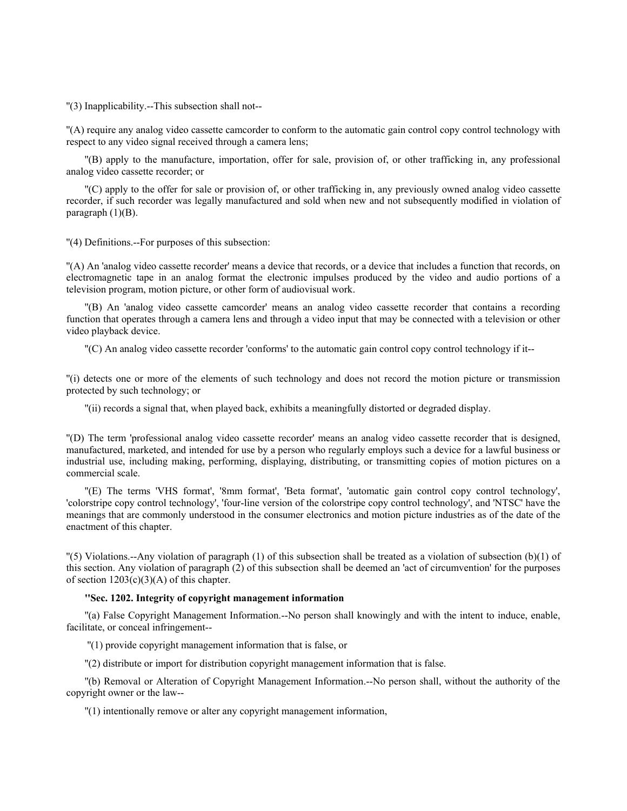''(3) Inapplicability.--This subsection shall not--

''(A) require any analog video cassette camcorder to conform to the automatic gain control copy control technology with respect to any video signal received through a camera lens;

''(B) apply to the manufacture, importation, offer for sale, provision of, or other trafficking in, any professional analog video cassette recorder; or

''(C) apply to the offer for sale or provision of, or other trafficking in, any previously owned analog video cassette recorder, if such recorder was legally manufactured and sold when new and not subsequently modified in violation of paragraph  $(1)(B)$ .

''(4) Definitions.--For purposes of this subsection:

''(A) An 'analog video cassette recorder' means a device that records, or a device that includes a function that records, on electromagnetic tape in an analog format the electronic impulses produced by the video and audio portions of a television program, motion picture, or other form of audiovisual work.

''(B) An 'analog video cassette camcorder' means an analog video cassette recorder that contains a recording function that operates through a camera lens and through a video input that may be connected with a television or other video playback device.

''(C) An analog video cassette recorder 'conforms' to the automatic gain control copy control technology if it--

''(i) detects one or more of the elements of such technology and does not record the motion picture or transmission protected by such technology; or

''(ii) records a signal that, when played back, exhibits a meaningfully distorted or degraded display.

''(D) The term 'professional analog video cassette recorder' means an analog video cassette recorder that is designed, manufactured, marketed, and intended for use by a person who regularly employs such a device for a lawful business or industrial use, including making, performing, displaying, distributing, or transmitting copies of motion pictures on a commercial scale.

''(E) The terms 'VHS format', '8mm format', 'Beta format', 'automatic gain control copy control technology', 'colorstripe copy control technology', 'four-line version of the colorstripe copy control technology', and 'NTSC' have the meanings that are commonly understood in the consumer electronics and motion picture industries as of the date of the enactment of this chapter.

 $\Gamma(5)$  Violations.--Any violation of paragraph (1) of this subsection shall be treated as a violation of subsection (b)(1) of this section. Any violation of paragraph (2) of this subsection shall be deemed an 'act of circumvention' for the purposes of section  $1203(c)(3)(A)$  of this chapter.

## **''Sec. 1202. Integrity of copyright management information**

''(a) False Copyright Management Information.--No person shall knowingly and with the intent to induce, enable, facilitate, or conceal infringement--

''(1) provide copyright management information that is false, or

''(2) distribute or import for distribution copyright management information that is false.

''(b) Removal or Alteration of Copyright Management Information.--No person shall, without the authority of the copyright owner or the law--

''(1) intentionally remove or alter any copyright management information,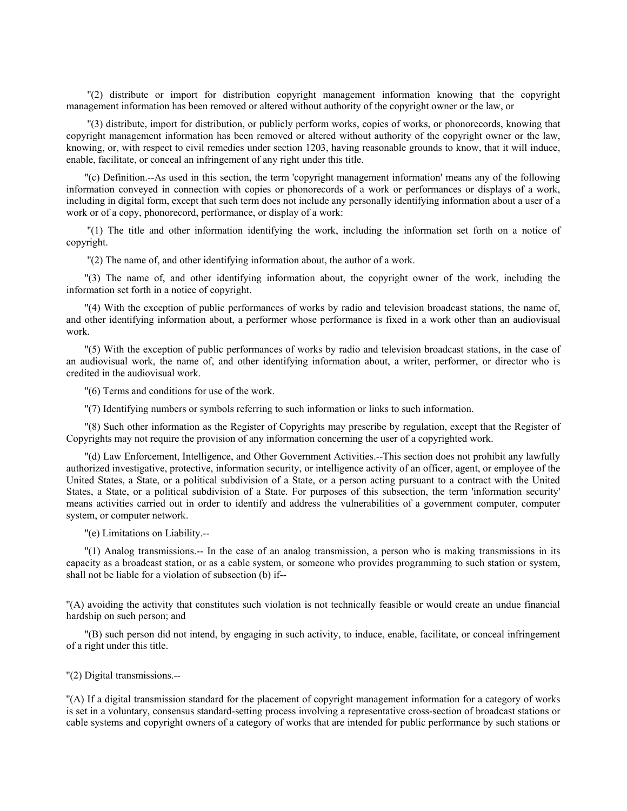''(2) distribute or import for distribution copyright management information knowing that the copyright management information has been removed or altered without authority of the copyright owner or the law, or

 ''(3) distribute, import for distribution, or publicly perform works, copies of works, or phonorecords, knowing that copyright management information has been removed or altered without authority of the copyright owner or the law, knowing, or, with respect to civil remedies under section 1203, having reasonable grounds to know, that it will induce, enable, facilitate, or conceal an infringement of any right under this title.

''(c) Definition.--As used in this section, the term 'copyright management information' means any of the following information conveyed in connection with copies or phonorecords of a work or performances or displays of a work, including in digital form, except that such term does not include any personally identifying information about a user of a work or of a copy, phonorecord, performance, or display of a work:

 ''(1) The title and other information identifying the work, including the information set forth on a notice of copyright.

''(2) The name of, and other identifying information about, the author of a work.

''(3) The name of, and other identifying information about, the copyright owner of the work, including the information set forth in a notice of copyright.

''(4) With the exception of public performances of works by radio and television broadcast stations, the name of, and other identifying information about, a performer whose performance is fixed in a work other than an audiovisual work.

''(5) With the exception of public performances of works by radio and television broadcast stations, in the case of an audiovisual work, the name of, and other identifying information about, a writer, performer, or director who is credited in the audiovisual work.

''(6) Terms and conditions for use of the work.

''(7) Identifying numbers or symbols referring to such information or links to such information.

''(8) Such other information as the Register of Copyrights may prescribe by regulation, except that the Register of Copyrights may not require the provision of any information concerning the user of a copyrighted work.

''(d) Law Enforcement, Intelligence, and Other Government Activities.--This section does not prohibit any lawfully authorized investigative, protective, information security, or intelligence activity of an officer, agent, or employee of the United States, a State, or a political subdivision of a State, or a person acting pursuant to a contract with the United States, a State, or a political subdivision of a State. For purposes of this subsection, the term 'information security' means activities carried out in order to identify and address the vulnerabilities of a government computer, computer system, or computer network.

''(e) Limitations on Liability.--

''(1) Analog transmissions.-- In the case of an analog transmission, a person who is making transmissions in its capacity as a broadcast station, or as a cable system, or someone who provides programming to such station or system, shall not be liable for a violation of subsection (b) if--

''(A) avoiding the activity that constitutes such violation is not technically feasible or would create an undue financial hardship on such person; and

''(B) such person did not intend, by engaging in such activity, to induce, enable, facilitate, or conceal infringement of a right under this title.

''(2) Digital transmissions.--

''(A) If a digital transmission standard for the placement of copyright management information for a category of works is set in a voluntary, consensus standard-setting process involving a representative cross-section of broadcast stations or cable systems and copyright owners of a category of works that are intended for public performance by such stations or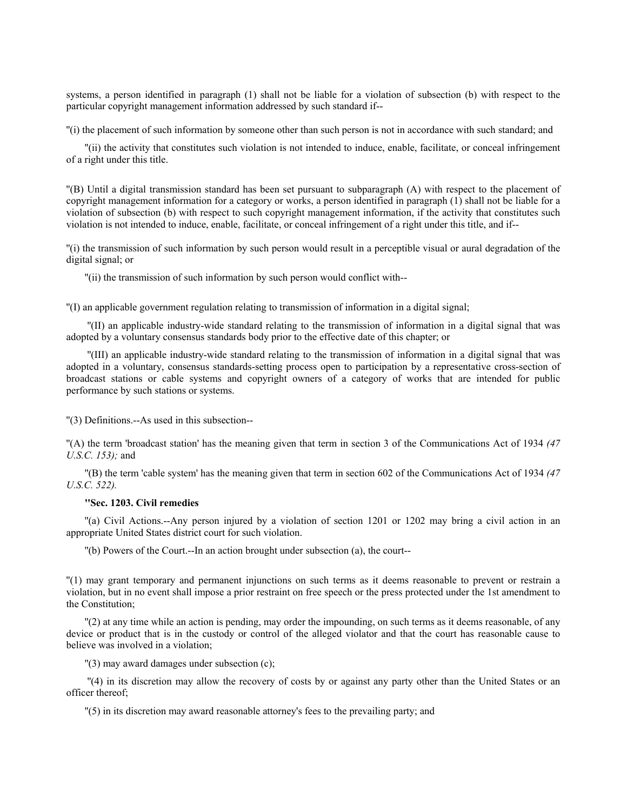systems, a person identified in paragraph (1) shall not be liable for a violation of subsection (b) with respect to the particular copyright management information addressed by such standard if--

''(i) the placement of such information by someone other than such person is not in accordance with such standard; and

''(ii) the activity that constitutes such violation is not intended to induce, enable, facilitate, or conceal infringement of a right under this title.

''(B) Until a digital transmission standard has been set pursuant to subparagraph (A) with respect to the placement of copyright management information for a category or works, a person identified in paragraph (1) shall not be liable for a violation of subsection (b) with respect to such copyright management information, if the activity that constitutes such violation is not intended to induce, enable, facilitate, or conceal infringement of a right under this title, and if--

''(i) the transmission of such information by such person would result in a perceptible visual or aural degradation of the digital signal; or

''(ii) the transmission of such information by such person would conflict with--

''(I) an applicable government regulation relating to transmission of information in a digital signal;

 ''(II) an applicable industry-wide standard relating to the transmission of information in a digital signal that was adopted by a voluntary consensus standards body prior to the effective date of this chapter; or

 ''(III) an applicable industry-wide standard relating to the transmission of information in a digital signal that was adopted in a voluntary, consensus standards-setting process open to participation by a representative cross-section of broadcast stations or cable systems and copyright owners of a category of works that are intended for public performance by such stations or systems.

''(3) Definitions.--As used in this subsection--

''(A) the term 'broadcast station' has the meaning given that term in section 3 of the Communications Act of 1934 *(47 U.S.C. 153);* and

''(B) the term 'cable system' has the meaning given that term in section 602 of the Communications Act of 1934 *(47 U.S.C. 522).*

### **''Sec. 1203. Civil remedies**

''(a) Civil Actions.--Any person injured by a violation of section 1201 or 1202 may bring a civil action in an appropriate United States district court for such violation.

''(b) Powers of the Court.--In an action brought under subsection (a), the court--

''(1) may grant temporary and permanent injunctions on such terms as it deems reasonable to prevent or restrain a violation, but in no event shall impose a prior restraint on free speech or the press protected under the 1st amendment to the Constitution;

''(2) at any time while an action is pending, may order the impounding, on such terms as it deems reasonable, of any device or product that is in the custody or control of the alleged violator and that the court has reasonable cause to believe was involved in a violation;

''(3) may award damages under subsection (c);

 ''(4) in its discretion may allow the recovery of costs by or against any party other than the United States or an officer thereof;

''(5) in its discretion may award reasonable attorney's fees to the prevailing party; and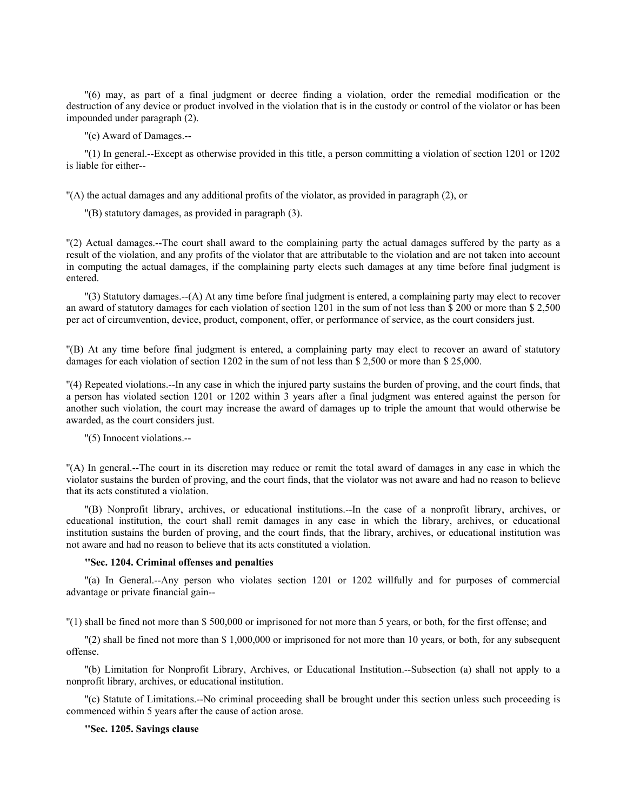''(6) may, as part of a final judgment or decree finding a violation, order the remedial modification or the destruction of any device or product involved in the violation that is in the custody or control of the violator or has been impounded under paragraph (2).

''(c) Award of Damages.--

''(1) In general.--Except as otherwise provided in this title, a person committing a violation of section 1201 or 1202 is liable for either--

''(A) the actual damages and any additional profits of the violator, as provided in paragraph (2), or

''(B) statutory damages, as provided in paragraph (3).

''(2) Actual damages.--The court shall award to the complaining party the actual damages suffered by the party as a result of the violation, and any profits of the violator that are attributable to the violation and are not taken into account in computing the actual damages, if the complaining party elects such damages at any time before final judgment is entered.

''(3) Statutory damages.--(A) At any time before final judgment is entered, a complaining party may elect to recover an award of statutory damages for each violation of section 1201 in the sum of not less than \$ 200 or more than \$ 2,500 per act of circumvention, device, product, component, offer, or performance of service, as the court considers just.

''(B) At any time before final judgment is entered, a complaining party may elect to recover an award of statutory damages for each violation of section 1202 in the sum of not less than \$ 2,500 or more than \$ 25,000.

''(4) Repeated violations.--In any case in which the injured party sustains the burden of proving, and the court finds, that a person has violated section 1201 or 1202 within 3 years after a final judgment was entered against the person for another such violation, the court may increase the award of damages up to triple the amount that would otherwise be awarded, as the court considers just.

''(5) Innocent violations.--

''(A) In general.--The court in its discretion may reduce or remit the total award of damages in any case in which the violator sustains the burden of proving, and the court finds, that the violator was not aware and had no reason to believe that its acts constituted a violation.

''(B) Nonprofit library, archives, or educational institutions.--In the case of a nonprofit library, archives, or educational institution, the court shall remit damages in any case in which the library, archives, or educational institution sustains the burden of proving, and the court finds, that the library, archives, or educational institution was not aware and had no reason to believe that its acts constituted a violation.

## **''Sec. 1204. Criminal offenses and penalties**

''(a) In General.--Any person who violates section 1201 or 1202 willfully and for purposes of commercial advantage or private financial gain--

''(1) shall be fined not more than \$ 500,000 or imprisoned for not more than 5 years, or both, for the first offense; and

''(2) shall be fined not more than \$ 1,000,000 or imprisoned for not more than 10 years, or both, for any subsequent offense.

''(b) Limitation for Nonprofit Library, Archives, or Educational Institution.--Subsection (a) shall not apply to a nonprofit library, archives, or educational institution.

''(c) Statute of Limitations.--No criminal proceeding shall be brought under this section unless such proceeding is commenced within 5 years after the cause of action arose.

### **''Sec. 1205. Savings clause**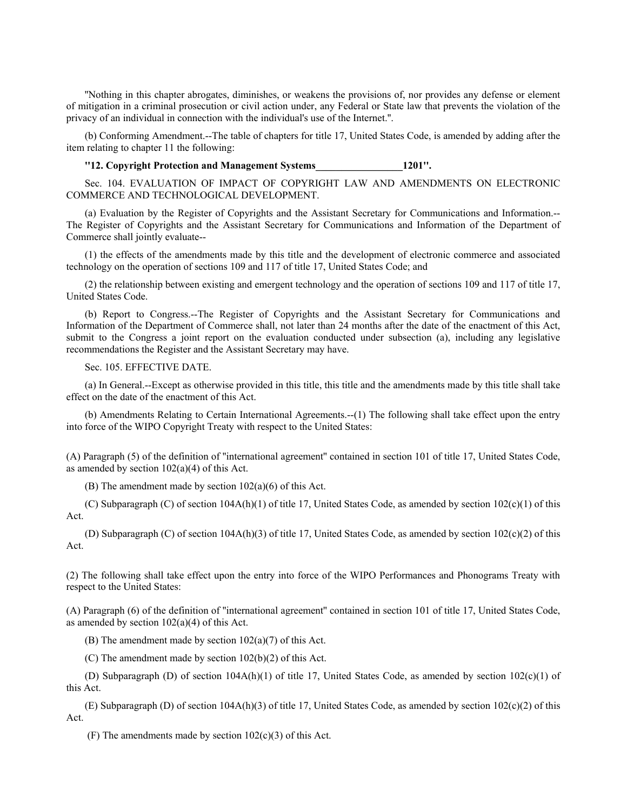''Nothing in this chapter abrogates, diminishes, or weakens the provisions of, nor provides any defense or element of mitigation in a criminal prosecution or civil action under, any Federal or State law that prevents the violation of the privacy of an individual in connection with the individual's use of the Internet.''.

(b) Conforming Amendment.--The table of chapters for title 17, United States Code, is amended by adding after the item relating to chapter 11 the following:

**''12. Copyright Protection and Management Systems\_\_\_\_\_\_\_\_\_\_\_\_\_\_\_\_\_1201''.**

Sec. 104. EVALUATION OF IMPACT OF COPYRIGHT LAW AND AMENDMENTS ON ELECTRONIC COMMERCE AND TECHNOLOGICAL DEVELOPMENT.

(a) Evaluation by the Register of Copyrights and the Assistant Secretary for Communications and Information.-- The Register of Copyrights and the Assistant Secretary for Communications and Information of the Department of Commerce shall jointly evaluate--

(1) the effects of the amendments made by this title and the development of electronic commerce and associated technology on the operation of sections 109 and 117 of title 17, United States Code; and

(2) the relationship between existing and emergent technology and the operation of sections 109 and 117 of title 17, United States Code.

(b) Report to Congress.--The Register of Copyrights and the Assistant Secretary for Communications and Information of the Department of Commerce shall, not later than 24 months after the date of the enactment of this Act, submit to the Congress a joint report on the evaluation conducted under subsection (a), including any legislative recommendations the Register and the Assistant Secretary may have.

Sec. 105. EFFECTIVE DATE.

(a) In General.--Except as otherwise provided in this title, this title and the amendments made by this title shall take effect on the date of the enactment of this Act.

(b) Amendments Relating to Certain International Agreements.--(1) The following shall take effect upon the entry into force of the WIPO Copyright Treaty with respect to the United States:

(A) Paragraph (5) of the definition of ''international agreement'' contained in section 101 of title 17, United States Code, as amended by section  $102(a)(4)$  of this Act.

(B) The amendment made by section 102(a)(6) of this Act.

(C) Subparagraph (C) of section  $104A(h)(1)$  of title 17, United States Code, as amended by section  $102(c)(1)$  of this Act.

(D) Subparagraph (C) of section 104A(h)(3) of title 17, United States Code, as amended by section 102(c)(2) of this Act.

(2) The following shall take effect upon the entry into force of the WIPO Performances and Phonograms Treaty with respect to the United States:

(A) Paragraph (6) of the definition of ''international agreement'' contained in section 101 of title 17, United States Code, as amended by section  $102(a)(4)$  of this Act.

(B) The amendment made by section  $102(a)(7)$  of this Act.

(C) The amendment made by section 102(b)(2) of this Act.

(D) Subparagraph (D) of section 104A(h)(1) of title 17, United States Code, as amended by section 102(c)(1) of this Act.

(E) Subparagraph (D) of section 104A(h)(3) of title 17, United States Code, as amended by section 102(c)(2) of this Act.

(F) The amendments made by section  $102(c)(3)$  of this Act.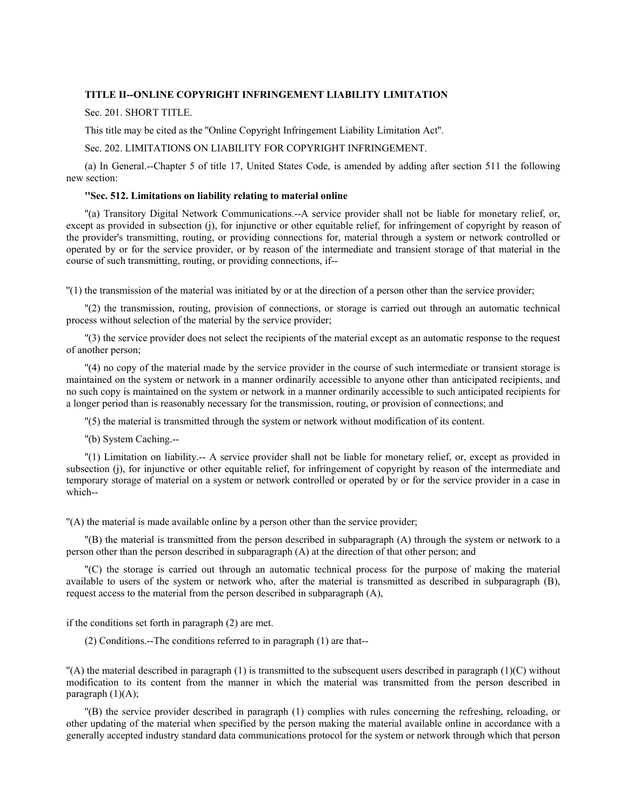## **TITLE II--ONLINE COPYRIGHT INFRINGEMENT LIABILITY LIMITATION**

Sec. 201. SHORT TITLE.

This title may be cited as the ''Online Copyright Infringement Liability Limitation Act''.

Sec. 202. LIMITATIONS ON LIABILITY FOR COPYRIGHT INFRINGEMENT.

(a) In General.--Chapter 5 of title 17, United States Code, is amended by adding after section 511 the following new section:

## **''Sec. 512. Limitations on liability relating to material online**

''(a) Transitory Digital Network Communications.--A service provider shall not be liable for monetary relief, or, except as provided in subsection (j), for injunctive or other equitable relief, for infringement of copyright by reason of the provider's transmitting, routing, or providing connections for, material through a system or network controlled or operated by or for the service provider, or by reason of the intermediate and transient storage of that material in the course of such transmitting, routing, or providing connections, if--

''(1) the transmission of the material was initiated by or at the direction of a person other than the service provider;

''(2) the transmission, routing, provision of connections, or storage is carried out through an automatic technical process without selection of the material by the service provider;

''(3) the service provider does not select the recipients of the material except as an automatic response to the request of another person;

''(4) no copy of the material made by the service provider in the course of such intermediate or transient storage is maintained on the system or network in a manner ordinarily accessible to anyone other than anticipated recipients, and no such copy is maintained on the system or network in a manner ordinarily accessible to such anticipated recipients for a longer period than is reasonably necessary for the transmission, routing, or provision of connections; and

''(5) the material is transmitted through the system or network without modification of its content.

''(b) System Caching.--

''(1) Limitation on liability.-- A service provider shall not be liable for monetary relief, or, except as provided in subsection (j), for injunctive or other equitable relief, for infringement of copyright by reason of the intermediate and temporary storage of material on a system or network controlled or operated by or for the service provider in a case in which--

''(A) the material is made available online by a person other than the service provider;

''(B) the material is transmitted from the person described in subparagraph (A) through the system or network to a person other than the person described in subparagraph (A) at the direction of that other person; and

''(C) the storage is carried out through an automatic technical process for the purpose of making the material available to users of the system or network who, after the material is transmitted as described in subparagraph (B), request access to the material from the person described in subparagraph (A),

if the conditions set forth in paragraph (2) are met.

(2) Conditions.--The conditions referred to in paragraph (1) are that--

 $\Gamma(A)$  the material described in paragraph (1) is transmitted to the subsequent users described in paragraph (1)(C) without modification to its content from the manner in which the material was transmitted from the person described in paragraph  $(1)(A)$ ;

''(B) the service provider described in paragraph (1) complies with rules concerning the refreshing, reloading, or other updating of the material when specified by the person making the material available online in accordance with a generally accepted industry standard data communications protocol for the system or network through which that person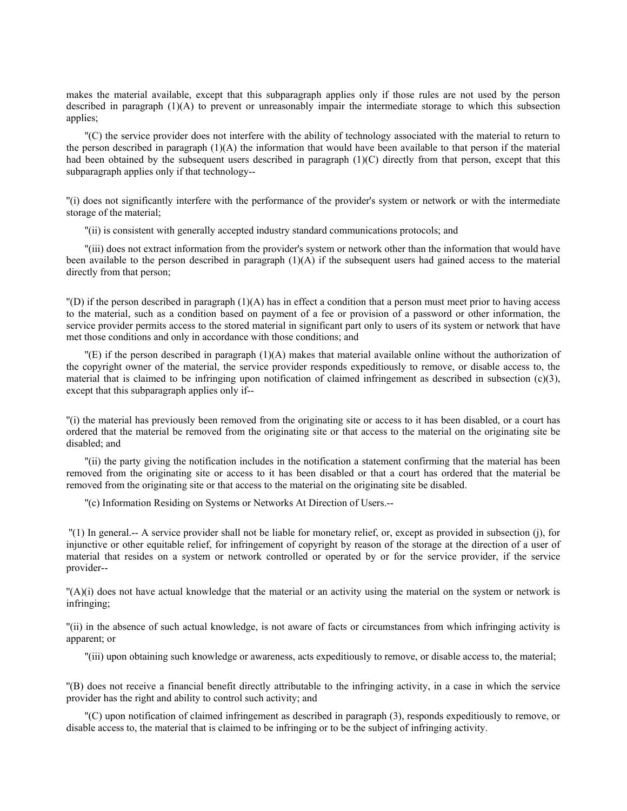makes the material available, except that this subparagraph applies only if those rules are not used by the person described in paragraph (1)(A) to prevent or unreasonably impair the intermediate storage to which this subsection applies;

''(C) the service provider does not interfere with the ability of technology associated with the material to return to the person described in paragraph  $(1)(A)$  the information that would have been available to that person if the material had been obtained by the subsequent users described in paragraph (1)(C) directly from that person, except that this subparagraph applies only if that technology--

''(i) does not significantly interfere with the performance of the provider's system or network or with the intermediate storage of the material;

''(ii) is consistent with generally accepted industry standard communications protocols; and

''(iii) does not extract information from the provider's system or network other than the information that would have been available to the person described in paragraph (1)(A) if the subsequent users had gained access to the material directly from that person;

 $\Gamma(D)$  if the person described in paragraph (1)(A) has in effect a condition that a person must meet prior to having access to the material, such as a condition based on payment of a fee or provision of a password or other information, the service provider permits access to the stored material in significant part only to users of its system or network that have met those conditions and only in accordance with those conditions; and

''(E) if the person described in paragraph (1)(A) makes that material available online without the authorization of the copyright owner of the material, the service provider responds expeditiously to remove, or disable access to, the material that is claimed to be infringing upon notification of claimed infringement as described in subsection (c)(3), except that this subparagraph applies only if--

''(i) the material has previously been removed from the originating site or access to it has been disabled, or a court has ordered that the material be removed from the originating site or that access to the material on the originating site be disabled; and

''(ii) the party giving the notification includes in the notification a statement confirming that the material has been removed from the originating site or access to it has been disabled or that a court has ordered that the material be removed from the originating site or that access to the material on the originating site be disabled.

''(c) Information Residing on Systems or Networks At Direction of Users.--

 ''(1) In general.-- A service provider shall not be liable for monetary relief, or, except as provided in subsection (j), for injunctive or other equitable relief, for infringement of copyright by reason of the storage at the direction of a user of material that resides on a system or network controlled or operated by or for the service provider, if the service provider--

''(A)(i) does not have actual knowledge that the material or an activity using the material on the system or network is infringing;

''(ii) in the absence of such actual knowledge, is not aware of facts or circumstances from which infringing activity is apparent; or

''(iii) upon obtaining such knowledge or awareness, acts expeditiously to remove, or disable access to, the material;

''(B) does not receive a financial benefit directly attributable to the infringing activity, in a case in which the service provider has the right and ability to control such activity; and

''(C) upon notification of claimed infringement as described in paragraph (3), responds expeditiously to remove, or disable access to, the material that is claimed to be infringing or to be the subject of infringing activity.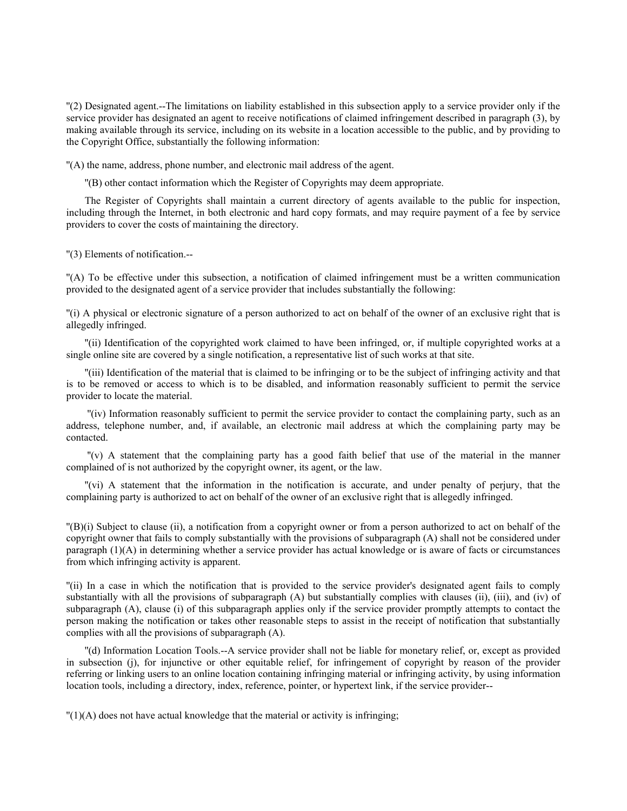''(2) Designated agent.--The limitations on liability established in this subsection apply to a service provider only if the service provider has designated an agent to receive notifications of claimed infringement described in paragraph (3), by making available through its service, including on its website in a location accessible to the public, and by providing to the Copyright Office, substantially the following information:

''(A) the name, address, phone number, and electronic mail address of the agent.

''(B) other contact information which the Register of Copyrights may deem appropriate.

The Register of Copyrights shall maintain a current directory of agents available to the public for inspection, including through the Internet, in both electronic and hard copy formats, and may require payment of a fee by service providers to cover the costs of maintaining the directory.

''(3) Elements of notification.--

''(A) To be effective under this subsection, a notification of claimed infringement must be a written communication provided to the designated agent of a service provider that includes substantially the following:

''(i) A physical or electronic signature of a person authorized to act on behalf of the owner of an exclusive right that is allegedly infringed.

''(ii) Identification of the copyrighted work claimed to have been infringed, or, if multiple copyrighted works at a single online site are covered by a single notification, a representative list of such works at that site.

''(iii) Identification of the material that is claimed to be infringing or to be the subject of infringing activity and that is to be removed or access to which is to be disabled, and information reasonably sufficient to permit the service provider to locate the material.

 ''(iv) Information reasonably sufficient to permit the service provider to contact the complaining party, such as an address, telephone number, and, if available, an electronic mail address at which the complaining party may be contacted.

 ''(v) A statement that the complaining party has a good faith belief that use of the material in the manner complained of is not authorized by the copyright owner, its agent, or the law.

''(vi) A statement that the information in the notification is accurate, and under penalty of perjury, that the complaining party is authorized to act on behalf of the owner of an exclusive right that is allegedly infringed.

''(B)(i) Subject to clause (ii), a notification from a copyright owner or from a person authorized to act on behalf of the copyright owner that fails to comply substantially with the provisions of subparagraph (A) shall not be considered under paragraph (1)(A) in determining whether a service provider has actual knowledge or is aware of facts or circumstances from which infringing activity is apparent.

''(ii) In a case in which the notification that is provided to the service provider's designated agent fails to comply substantially with all the provisions of subparagraph (A) but substantially complies with clauses (ii), (iii), and (iv) of subparagraph (A), clause (i) of this subparagraph applies only if the service provider promptly attempts to contact the person making the notification or takes other reasonable steps to assist in the receipt of notification that substantially complies with all the provisions of subparagraph (A).

''(d) Information Location Tools.--A service provider shall not be liable for monetary relief, or, except as provided in subsection (j), for injunctive or other equitable relief, for infringement of copyright by reason of the provider referring or linking users to an online location containing infringing material or infringing activity, by using information location tools, including a directory, index, reference, pointer, or hypertext link, if the service provider--

 $''(1)(A)$  does not have actual knowledge that the material or activity is infringing;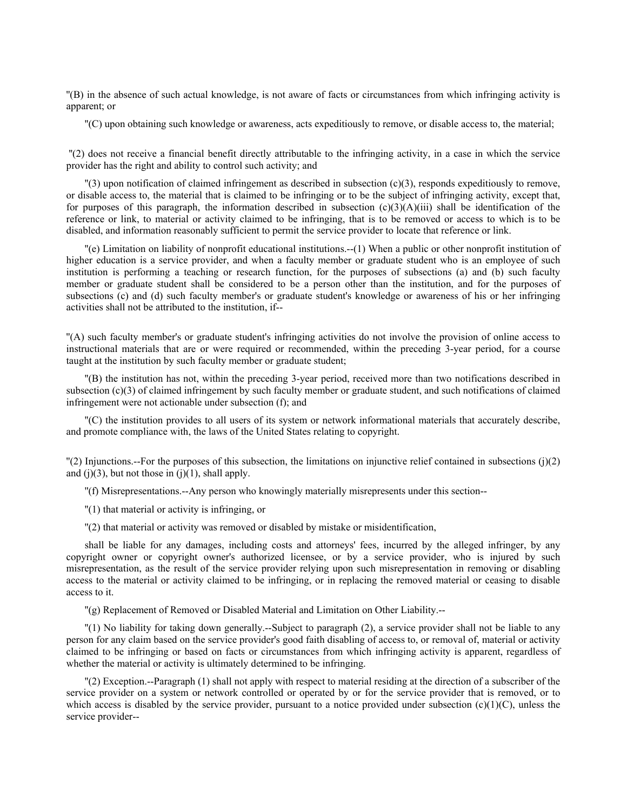''(B) in the absence of such actual knowledge, is not aware of facts or circumstances from which infringing activity is apparent; or

''(C) upon obtaining such knowledge or awareness, acts expeditiously to remove, or disable access to, the material;

 ''(2) does not receive a financial benefit directly attributable to the infringing activity, in a case in which the service provider has the right and ability to control such activity; and

''(3) upon notification of claimed infringement as described in subsection (c)(3), responds expeditiously to remove, or disable access to, the material that is claimed to be infringing or to be the subject of infringing activity, except that, for purposes of this paragraph, the information described in subsection  $(c)(3)(A)(iii)$  shall be identification of the reference or link, to material or activity claimed to be infringing, that is to be removed or access to which is to be disabled, and information reasonably sufficient to permit the service provider to locate that reference or link.

''(e) Limitation on liability of nonprofit educational institutions.--(1) When a public or other nonprofit institution of higher education is a service provider, and when a faculty member or graduate student who is an employee of such institution is performing a teaching or research function, for the purposes of subsections (a) and (b) such faculty member or graduate student shall be considered to be a person other than the institution, and for the purposes of subsections (c) and (d) such faculty member's or graduate student's knowledge or awareness of his or her infringing activities shall not be attributed to the institution, if--

''(A) such faculty member's or graduate student's infringing activities do not involve the provision of online access to instructional materials that are or were required or recommended, within the preceding 3-year period, for a course taught at the institution by such faculty member or graduate student;

''(B) the institution has not, within the preceding 3-year period, received more than two notifications described in subsection (c)(3) of claimed infringement by such faculty member or graduate student, and such notifications of claimed infringement were not actionable under subsection (f); and

''(C) the institution provides to all users of its system or network informational materials that accurately describe, and promote compliance with, the laws of the United States relating to copyright.

 $\binom{n}{2}$  Injunctions.--For the purposes of this subsection, the limitations on injunctive relief contained in subsections (j)(2) and  $(j)(3)$ , but not those in  $(j)(1)$ , shall apply.

''(f) Misrepresentations.--Any person who knowingly materially misrepresents under this section--

''(1) that material or activity is infringing, or

''(2) that material or activity was removed or disabled by mistake or misidentification,

shall be liable for any damages, including costs and attorneys' fees, incurred by the alleged infringer, by any copyright owner or copyright owner's authorized licensee, or by a service provider, who is injured by such misrepresentation, as the result of the service provider relying upon such misrepresentation in removing or disabling access to the material or activity claimed to be infringing, or in replacing the removed material or ceasing to disable access to it.

''(g) Replacement of Removed or Disabled Material and Limitation on Other Liability.--

''(1) No liability for taking down generally.--Subject to paragraph (2), a service provider shall not be liable to any person for any claim based on the service provider's good faith disabling of access to, or removal of, material or activity claimed to be infringing or based on facts or circumstances from which infringing activity is apparent, regardless of whether the material or activity is ultimately determined to be infringing.

''(2) Exception.--Paragraph (1) shall not apply with respect to material residing at the direction of a subscriber of the service provider on a system or network controlled or operated by or for the service provider that is removed, or to which access is disabled by the service provider, pursuant to a notice provided under subsection  $(c)(1)(C)$ , unless the service provider--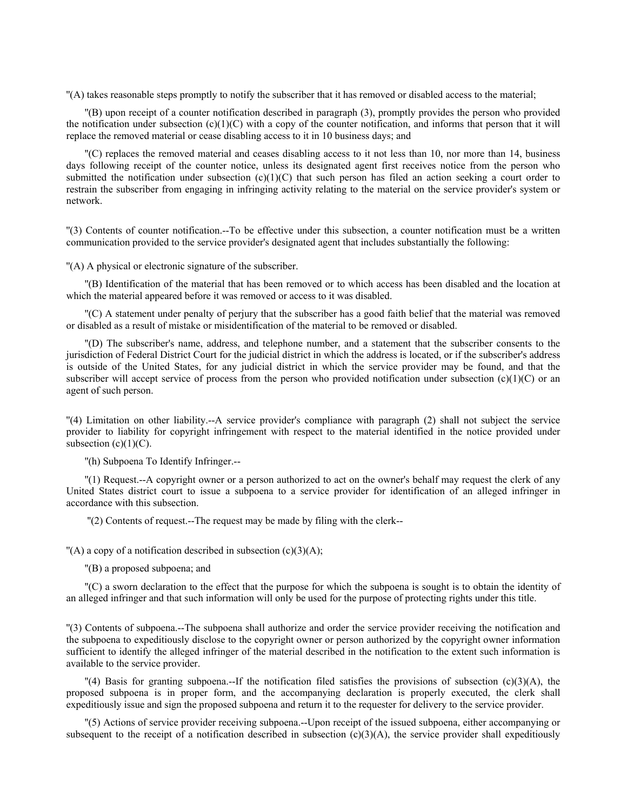''(A) takes reasonable steps promptly to notify the subscriber that it has removed or disabled access to the material;

''(B) upon receipt of a counter notification described in paragraph (3), promptly provides the person who provided the notification under subsection  $(c)(1)(C)$  with a copy of the counter notification, and informs that person that it will replace the removed material or cease disabling access to it in 10 business days; and

''(C) replaces the removed material and ceases disabling access to it not less than 10, nor more than 14, business days following receipt of the counter notice, unless its designated agent first receives notice from the person who submitted the notification under subsection  $(c)(1)(C)$  that such person has filed an action seeking a court order to restrain the subscriber from engaging in infringing activity relating to the material on the service provider's system or network.

''(3) Contents of counter notification.--To be effective under this subsection, a counter notification must be a written communication provided to the service provider's designated agent that includes substantially the following:

''(A) A physical or electronic signature of the subscriber.

''(B) Identification of the material that has been removed or to which access has been disabled and the location at which the material appeared before it was removed or access to it was disabled.

''(C) A statement under penalty of perjury that the subscriber has a good faith belief that the material was removed or disabled as a result of mistake or misidentification of the material to be removed or disabled.

''(D) The subscriber's name, address, and telephone number, and a statement that the subscriber consents to the jurisdiction of Federal District Court for the judicial district in which the address is located, or if the subscriber's address is outside of the United States, for any judicial district in which the service provider may be found, and that the subscriber will accept service of process from the person who provided notification under subsection  $(c)(1)(C)$  or an agent of such person.

''(4) Limitation on other liability.--A service provider's compliance with paragraph (2) shall not subject the service provider to liability for copyright infringement with respect to the material identified in the notice provided under subsection  $(c)(1)(C)$ .

''(h) Subpoena To Identify Infringer.--

''(1) Request.--A copyright owner or a person authorized to act on the owner's behalf may request the clerk of any United States district court to issue a subpoena to a service provider for identification of an alleged infringer in accordance with this subsection.

''(2) Contents of request.--The request may be made by filing with the clerk--

 $''(A)$  a copy of a notification described in subsection  $(c)(3)(A)$ ;

''(B) a proposed subpoena; and

''(C) a sworn declaration to the effect that the purpose for which the subpoena is sought is to obtain the identity of an alleged infringer and that such information will only be used for the purpose of protecting rights under this title.

''(3) Contents of subpoena.--The subpoena shall authorize and order the service provider receiving the notification and the subpoena to expeditiously disclose to the copyright owner or person authorized by the copyright owner information sufficient to identify the alleged infringer of the material described in the notification to the extent such information is available to the service provider.

 $\binom{n}{4}$  Basis for granting subpoena.-If the notification filed satisfies the provisions of subsection (c)(3)(A), the proposed subpoena is in proper form, and the accompanying declaration is properly executed, the clerk shall expeditiously issue and sign the proposed subpoena and return it to the requester for delivery to the service provider.

''(5) Actions of service provider receiving subpoena.--Upon receipt of the issued subpoena, either accompanying or subsequent to the receipt of a notification described in subsection  $(c)(3)(A)$ , the service provider shall expeditiously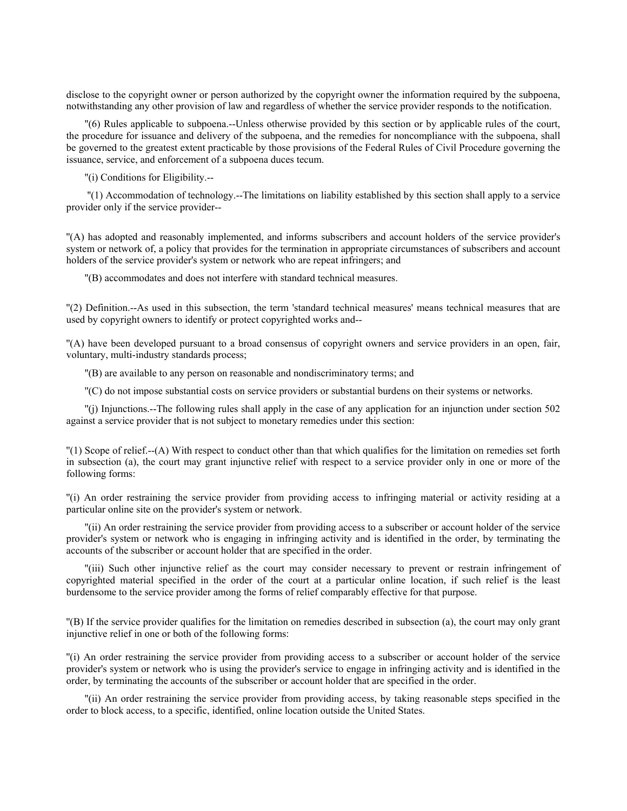disclose to the copyright owner or person authorized by the copyright owner the information required by the subpoena, notwithstanding any other provision of law and regardless of whether the service provider responds to the notification.

''(6) Rules applicable to subpoena.--Unless otherwise provided by this section or by applicable rules of the court, the procedure for issuance and delivery of the subpoena, and the remedies for noncompliance with the subpoena, shall be governed to the greatest extent practicable by those provisions of the Federal Rules of Civil Procedure governing the issuance, service, and enforcement of a subpoena duces tecum.

''(i) Conditions for Eligibility.--

 ''(1) Accommodation of technology.--The limitations on liability established by this section shall apply to a service provider only if the service provider--

''(A) has adopted and reasonably implemented, and informs subscribers and account holders of the service provider's system or network of, a policy that provides for the termination in appropriate circumstances of subscribers and account holders of the service provider's system or network who are repeat infringers; and

''(B) accommodates and does not interfere with standard technical measures.

''(2) Definition.--As used in this subsection, the term 'standard technical measures' means technical measures that are used by copyright owners to identify or protect copyrighted works and--

''(A) have been developed pursuant to a broad consensus of copyright owners and service providers in an open, fair, voluntary, multi-industry standards process;

''(B) are available to any person on reasonable and nondiscriminatory terms; and

''(C) do not impose substantial costs on service providers or substantial burdens on their systems or networks.

''(j) Injunctions.--The following rules shall apply in the case of any application for an injunction under section 502 against a service provider that is not subject to monetary remedies under this section:

''(1) Scope of relief.--(A) With respect to conduct other than that which qualifies for the limitation on remedies set forth in subsection (a), the court may grant injunctive relief with respect to a service provider only in one or more of the following forms:

''(i) An order restraining the service provider from providing access to infringing material or activity residing at a particular online site on the provider's system or network.

''(ii) An order restraining the service provider from providing access to a subscriber or account holder of the service provider's system or network who is engaging in infringing activity and is identified in the order, by terminating the accounts of the subscriber or account holder that are specified in the order.

''(iii) Such other injunctive relief as the court may consider necessary to prevent or restrain infringement of copyrighted material specified in the order of the court at a particular online location, if such relief is the least burdensome to the service provider among the forms of relief comparably effective for that purpose.

''(B) If the service provider qualifies for the limitation on remedies described in subsection (a), the court may only grant injunctive relief in one or both of the following forms:

''(i) An order restraining the service provider from providing access to a subscriber or account holder of the service provider's system or network who is using the provider's service to engage in infringing activity and is identified in the order, by terminating the accounts of the subscriber or account holder that are specified in the order.

''(ii) An order restraining the service provider from providing access, by taking reasonable steps specified in the order to block access, to a specific, identified, online location outside the United States.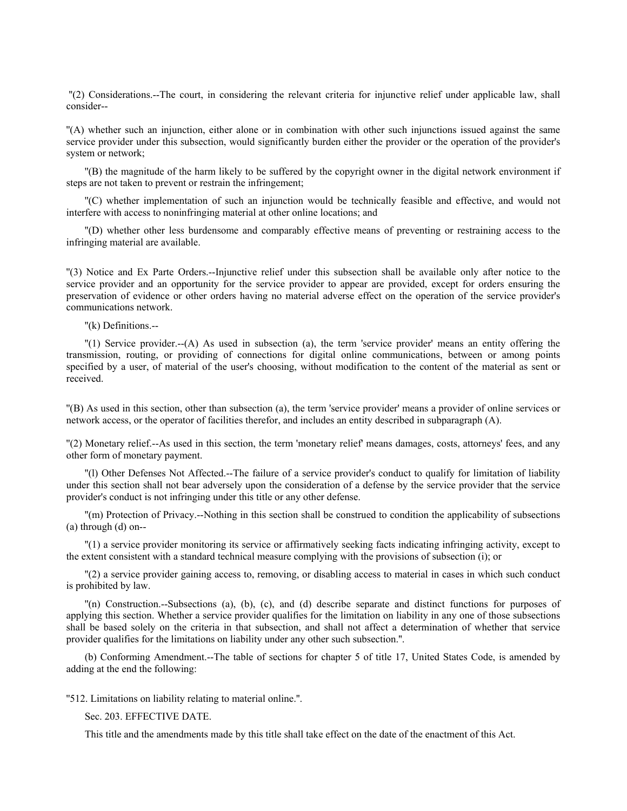''(2) Considerations.--The court, in considering the relevant criteria for injunctive relief under applicable law, shall consider--

''(A) whether such an injunction, either alone or in combination with other such injunctions issued against the same service provider under this subsection, would significantly burden either the provider or the operation of the provider's system or network;

''(B) the magnitude of the harm likely to be suffered by the copyright owner in the digital network environment if steps are not taken to prevent or restrain the infringement;

''(C) whether implementation of such an injunction would be technically feasible and effective, and would not interfere with access to noninfringing material at other online locations; and

''(D) whether other less burdensome and comparably effective means of preventing or restraining access to the infringing material are available.

''(3) Notice and Ex Parte Orders.--Injunctive relief under this subsection shall be available only after notice to the service provider and an opportunity for the service provider to appear are provided, except for orders ensuring the preservation of evidence or other orders having no material adverse effect on the operation of the service provider's communications network.

''(k) Definitions.--

''(1) Service provider.--(A) As used in subsection (a), the term 'service provider' means an entity offering the transmission, routing, or providing of connections for digital online communications, between or among points specified by a user, of material of the user's choosing, without modification to the content of the material as sent or received.

''(B) As used in this section, other than subsection (a), the term 'service provider' means a provider of online services or network access, or the operator of facilities therefor, and includes an entity described in subparagraph (A).

''(2) Monetary relief.--As used in this section, the term 'monetary relief' means damages, costs, attorneys' fees, and any other form of monetary payment.

''(l) Other Defenses Not Affected.--The failure of a service provider's conduct to qualify for limitation of liability under this section shall not bear adversely upon the consideration of a defense by the service provider that the service provider's conduct is not infringing under this title or any other defense.

''(m) Protection of Privacy.--Nothing in this section shall be construed to condition the applicability of subsections (a) through (d) on--

''(1) a service provider monitoring its service or affirmatively seeking facts indicating infringing activity, except to the extent consistent with a standard technical measure complying with the provisions of subsection (i); or

''(2) a service provider gaining access to, removing, or disabling access to material in cases in which such conduct is prohibited by law.

''(n) Construction.--Subsections (a), (b), (c), and (d) describe separate and distinct functions for purposes of applying this section. Whether a service provider qualifies for the limitation on liability in any one of those subsections shall be based solely on the criteria in that subsection, and shall not affect a determination of whether that service provider qualifies for the limitations on liability under any other such subsection.''.

(b) Conforming Amendment.--The table of sections for chapter 5 of title 17, United States Code, is amended by adding at the end the following:

''512. Limitations on liability relating to material online.''.

Sec. 203. EFFECTIVE DATE.

This title and the amendments made by this title shall take effect on the date of the enactment of this Act.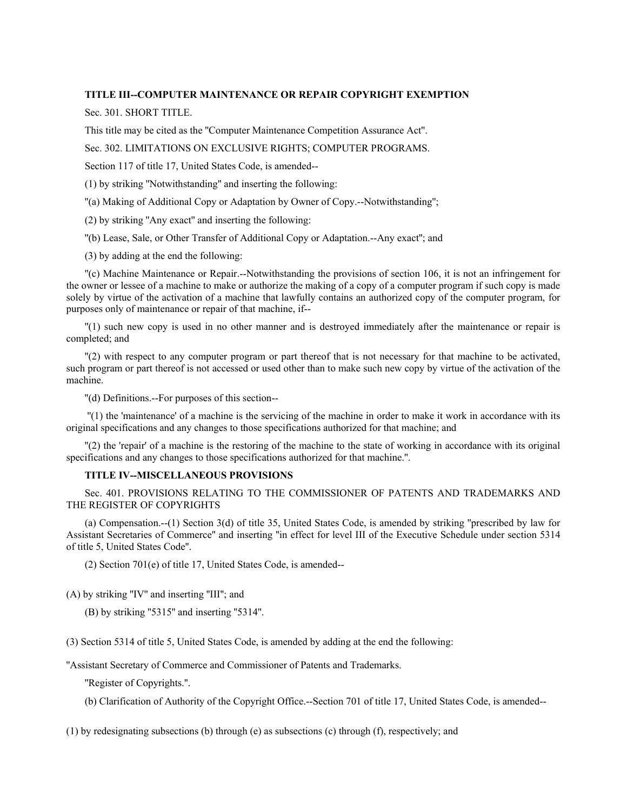## **TITLE III--COMPUTER MAINTENANCE OR REPAIR COPYRIGHT EXEMPTION**

Sec. 301. SHORT TITLE.

This title may be cited as the ''Computer Maintenance Competition Assurance Act''.

Sec. 302. LIMITATIONS ON EXCLUSIVE RIGHTS; COMPUTER PROGRAMS.

Section 117 of title 17, United States Code, is amended--

(1) by striking ''Notwithstanding'' and inserting the following:

''(a) Making of Additional Copy or Adaptation by Owner of Copy.--Notwithstanding'';

(2) by striking ''Any exact'' and inserting the following:

''(b) Lease, Sale, or Other Transfer of Additional Copy or Adaptation.--Any exact''; and

(3) by adding at the end the following:

''(c) Machine Maintenance or Repair.--Notwithstanding the provisions of section 106, it is not an infringement for the owner or lessee of a machine to make or authorize the making of a copy of a computer program if such copy is made solely by virtue of the activation of a machine that lawfully contains an authorized copy of the computer program, for purposes only of maintenance or repair of that machine, if--

''(1) such new copy is used in no other manner and is destroyed immediately after the maintenance or repair is completed; and

''(2) with respect to any computer program or part thereof that is not necessary for that machine to be activated, such program or part thereof is not accessed or used other than to make such new copy by virtue of the activation of the machine.

''(d) Definitions.--For purposes of this section--

 ''(1) the 'maintenance' of a machine is the servicing of the machine in order to make it work in accordance with its original specifications and any changes to those specifications authorized for that machine; and

''(2) the 'repair' of a machine is the restoring of the machine to the state of working in accordance with its original specifications and any changes to those specifications authorized for that machine.''.

# **TITLE IV--MISCELLANEOUS PROVISIONS**

Sec. 401. PROVISIONS RELATING TO THE COMMISSIONER OF PATENTS AND TRADEMARKS AND THE REGISTER OF COPYRIGHTS

(a) Compensation.--(1) Section 3(d) of title 35, United States Code, is amended by striking ''prescribed by law for Assistant Secretaries of Commerce'' and inserting ''in effect for level III of the Executive Schedule under section 5314 of title 5, United States Code''.

(2) Section 701(e) of title 17, United States Code, is amended--

(A) by striking ''IV'' and inserting ''III''; and

(B) by striking ''5315'' and inserting ''5314''.

(3) Section 5314 of title 5, United States Code, is amended by adding at the end the following:

''Assistant Secretary of Commerce and Commissioner of Patents and Trademarks.

''Register of Copyrights.''.

(b) Clarification of Authority of the Copyright Office.--Section 701 of title 17, United States Code, is amended--

(1) by redesignating subsections (b) through (e) as subsections (c) through (f), respectively; and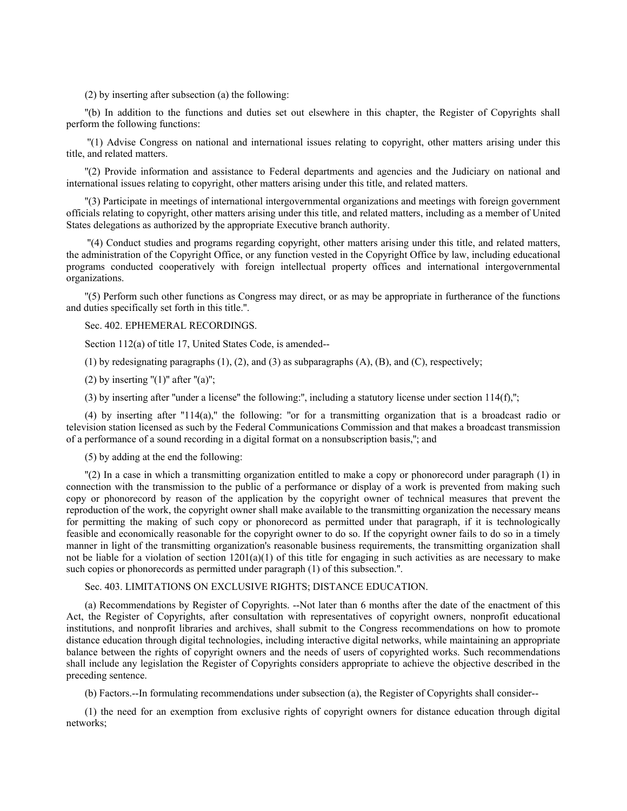(2) by inserting after subsection (a) the following:

''(b) In addition to the functions and duties set out elsewhere in this chapter, the Register of Copyrights shall perform the following functions:

 ''(1) Advise Congress on national and international issues relating to copyright, other matters arising under this title, and related matters.

''(2) Provide information and assistance to Federal departments and agencies and the Judiciary on national and international issues relating to copyright, other matters arising under this title, and related matters.

''(3) Participate in meetings of international intergovernmental organizations and meetings with foreign government officials relating to copyright, other matters arising under this title, and related matters, including as a member of United States delegations as authorized by the appropriate Executive branch authority.

 ''(4) Conduct studies and programs regarding copyright, other matters arising under this title, and related matters, the administration of the Copyright Office, or any function vested in the Copyright Office by law, including educational programs conducted cooperatively with foreign intellectual property offices and international intergovernmental organizations.

''(5) Perform such other functions as Congress may direct, or as may be appropriate in furtherance of the functions and duties specifically set forth in this title.''.

Sec. 402. EPHEMERAL RECORDINGS.

Section 112(a) of title 17, United States Code, is amended--

(1) by redesignating paragraphs  $(1)$ ,  $(2)$ , and  $(3)$  as subparagraphs  $(A)$ ,  $(B)$ , and  $(C)$ , respectively;

(2) by inserting " $(1)$ " after " $(a)$ ";

(3) by inserting after ''under a license'' the following:'', including a statutory license under section 114(f),'';

(4) by inserting after  $"114(a)$ ," the following: "or for a transmitting organization that is a broadcast radio or television station licensed as such by the Federal Communications Commission and that makes a broadcast transmission of a performance of a sound recording in a digital format on a nonsubscription basis,''; and

(5) by adding at the end the following:

''(2) In a case in which a transmitting organization entitled to make a copy or phonorecord under paragraph (1) in connection with the transmission to the public of a performance or display of a work is prevented from making such copy or phonorecord by reason of the application by the copyright owner of technical measures that prevent the reproduction of the work, the copyright owner shall make available to the transmitting organization the necessary means for permitting the making of such copy or phonorecord as permitted under that paragraph, if it is technologically feasible and economically reasonable for the copyright owner to do so. If the copyright owner fails to do so in a timely manner in light of the transmitting organization's reasonable business requirements, the transmitting organization shall not be liable for a violation of section  $1201(a)(1)$  of this title for engaging in such activities as are necessary to make such copies or phonorecords as permitted under paragraph (1) of this subsection.''.

Sec. 403. LIMITATIONS ON EXCLUSIVE RIGHTS; DISTANCE EDUCATION.

(a) Recommendations by Register of Copyrights. --Not later than 6 months after the date of the enactment of this Act, the Register of Copyrights, after consultation with representatives of copyright owners, nonprofit educational institutions, and nonprofit libraries and archives, shall submit to the Congress recommendations on how to promote distance education through digital technologies, including interactive digital networks, while maintaining an appropriate balance between the rights of copyright owners and the needs of users of copyrighted works. Such recommendations shall include any legislation the Register of Copyrights considers appropriate to achieve the objective described in the preceding sentence.

(b) Factors.--In formulating recommendations under subsection (a), the Register of Copyrights shall consider--

(1) the need for an exemption from exclusive rights of copyright owners for distance education through digital networks;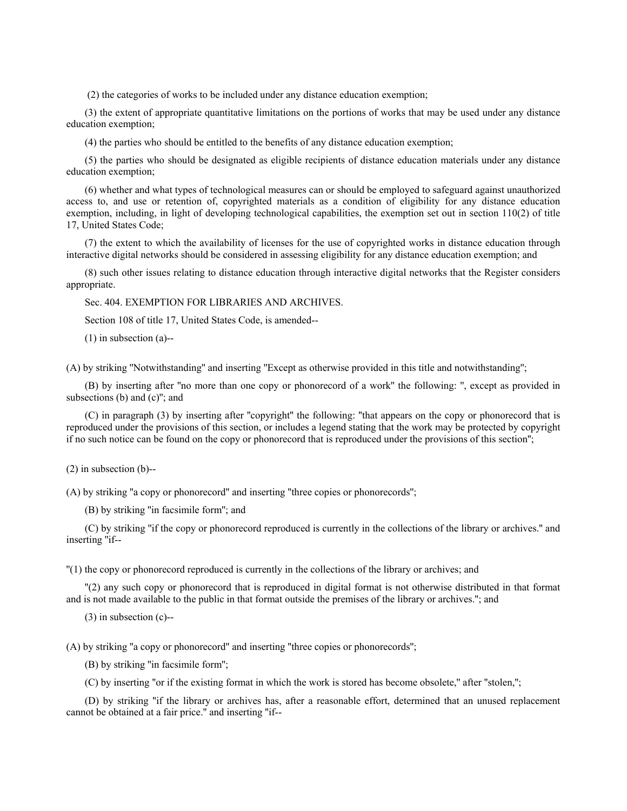(2) the categories of works to be included under any distance education exemption;

(3) the extent of appropriate quantitative limitations on the portions of works that may be used under any distance education exemption;

(4) the parties who should be entitled to the benefits of any distance education exemption;

(5) the parties who should be designated as eligible recipients of distance education materials under any distance education exemption;

(6) whether and what types of technological measures can or should be employed to safeguard against unauthorized access to, and use or retention of, copyrighted materials as a condition of eligibility for any distance education exemption, including, in light of developing technological capabilities, the exemption set out in section 110(2) of title 17, United States Code;

(7) the extent to which the availability of licenses for the use of copyrighted works in distance education through interactive digital networks should be considered in assessing eligibility for any distance education exemption; and

(8) such other issues relating to distance education through interactive digital networks that the Register considers appropriate.

Sec. 404. EXEMPTION FOR LIBRARIES AND ARCHIVES.

Section 108 of title 17, United States Code, is amended--

(1) in subsection (a)--

(A) by striking ''Notwithstanding'' and inserting ''Except as otherwise provided in this title and notwithstanding'';

(B) by inserting after ''no more than one copy or phonorecord of a work'' the following: '', except as provided in subsections (b) and (c)''; and

(C) in paragraph (3) by inserting after ''copyright'' the following: ''that appears on the copy or phonorecord that is reproduced under the provisions of this section, or includes a legend stating that the work may be protected by copyright if no such notice can be found on the copy or phonorecord that is reproduced under the provisions of this section'';

(2) in subsection (b)--

(A) by striking ''a copy or phonorecord'' and inserting ''three copies or phonorecords'';

(B) by striking ''in facsimile form''; and

(C) by striking ''if the copy or phonorecord reproduced is currently in the collections of the library or archives.'' and inserting ''if--

''(1) the copy or phonorecord reproduced is currently in the collections of the library or archives; and

''(2) any such copy or phonorecord that is reproduced in digital format is not otherwise distributed in that format and is not made available to the public in that format outside the premises of the library or archives.''; and

(3) in subsection (c)--

(A) by striking ''a copy or phonorecord'' and inserting ''three copies or phonorecords'';

(B) by striking ''in facsimile form'';

(C) by inserting ''or if the existing format in which the work is stored has become obsolete,'' after ''stolen,'';

(D) by striking ''if the library or archives has, after a reasonable effort, determined that an unused replacement cannot be obtained at a fair price.'' and inserting ''if--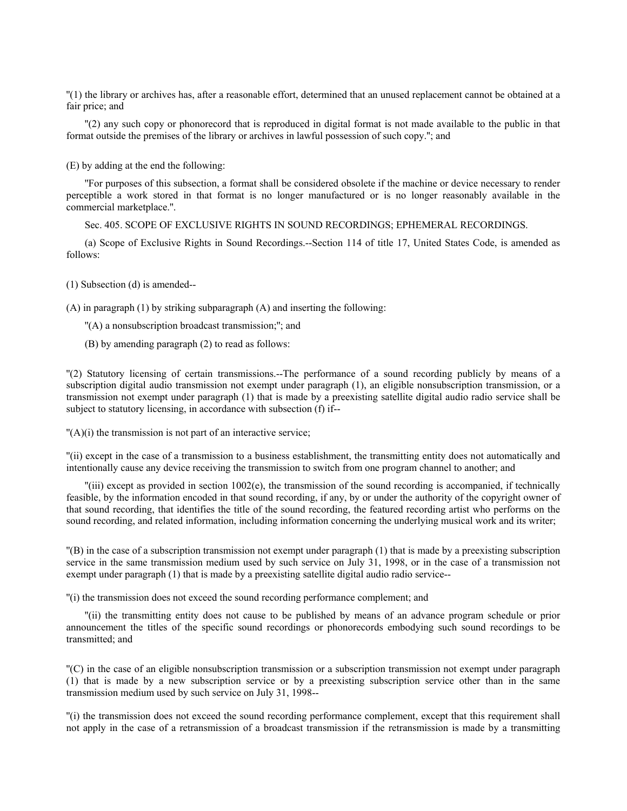''(1) the library or archives has, after a reasonable effort, determined that an unused replacement cannot be obtained at a fair price; and

''(2) any such copy or phonorecord that is reproduced in digital format is not made available to the public in that format outside the premises of the library or archives in lawful possession of such copy.''; and

(E) by adding at the end the following:

''For purposes of this subsection, a format shall be considered obsolete if the machine or device necessary to render perceptible a work stored in that format is no longer manufactured or is no longer reasonably available in the commercial marketplace.''.

Sec. 405. SCOPE OF EXCLUSIVE RIGHTS IN SOUND RECORDINGS; EPHEMERAL RECORDINGS.

(a) Scope of Exclusive Rights in Sound Recordings.--Section 114 of title 17, United States Code, is amended as follows:

(1) Subsection (d) is amended--

(A) in paragraph (1) by striking subparagraph (A) and inserting the following:

''(A) a nonsubscription broadcast transmission;''; and

(B) by amending paragraph (2) to read as follows:

''(2) Statutory licensing of certain transmissions.--The performance of a sound recording publicly by means of a subscription digital audio transmission not exempt under paragraph (1), an eligible nonsubscription transmission, or a transmission not exempt under paragraph (1) that is made by a preexisting satellite digital audio radio service shall be subject to statutory licensing, in accordance with subsection (f) if--

''(A)(i) the transmission is not part of an interactive service;

''(ii) except in the case of a transmission to a business establishment, the transmitting entity does not automatically and intentionally cause any device receiving the transmission to switch from one program channel to another; and

''(iii) except as provided in section 1002(e), the transmission of the sound recording is accompanied, if technically feasible, by the information encoded in that sound recording, if any, by or under the authority of the copyright owner of that sound recording, that identifies the title of the sound recording, the featured recording artist who performs on the sound recording, and related information, including information concerning the underlying musical work and its writer;

''(B) in the case of a subscription transmission not exempt under paragraph (1) that is made by a preexisting subscription service in the same transmission medium used by such service on July 31, 1998, or in the case of a transmission not exempt under paragraph (1) that is made by a preexisting satellite digital audio radio service--

''(i) the transmission does not exceed the sound recording performance complement; and

''(ii) the transmitting entity does not cause to be published by means of an advance program schedule or prior announcement the titles of the specific sound recordings or phonorecords embodying such sound recordings to be transmitted; and

''(C) in the case of an eligible nonsubscription transmission or a subscription transmission not exempt under paragraph (1) that is made by a new subscription service or by a preexisting subscription service other than in the same transmission medium used by such service on July 31, 1998--

''(i) the transmission does not exceed the sound recording performance complement, except that this requirement shall not apply in the case of a retransmission of a broadcast transmission if the retransmission is made by a transmitting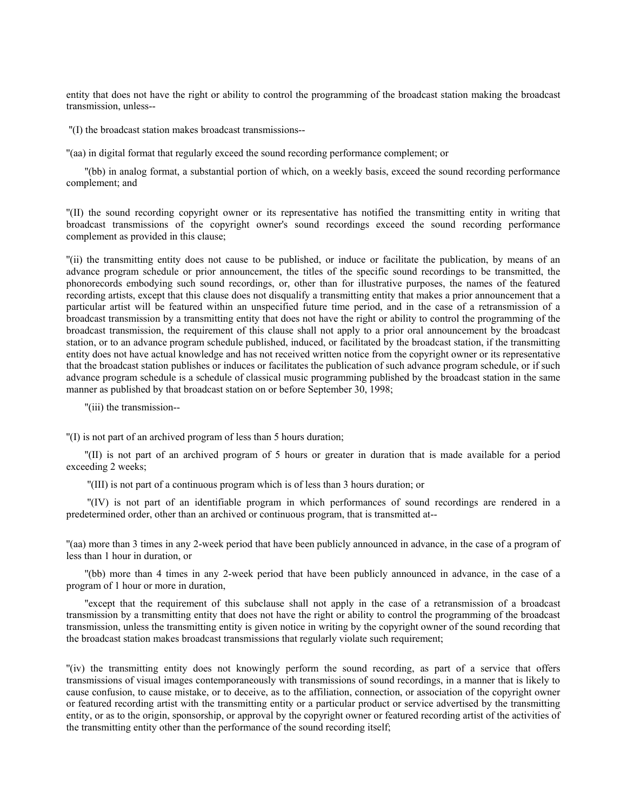entity that does not have the right or ability to control the programming of the broadcast station making the broadcast transmission, unless--

''(I) the broadcast station makes broadcast transmissions--

''(aa) in digital format that regularly exceed the sound recording performance complement; or

''(bb) in analog format, a substantial portion of which, on a weekly basis, exceed the sound recording performance complement; and

''(II) the sound recording copyright owner or its representative has notified the transmitting entity in writing that broadcast transmissions of the copyright owner's sound recordings exceed the sound recording performance complement as provided in this clause;

''(ii) the transmitting entity does not cause to be published, or induce or facilitate the publication, by means of an advance program schedule or prior announcement, the titles of the specific sound recordings to be transmitted, the phonorecords embodying such sound recordings, or, other than for illustrative purposes, the names of the featured recording artists, except that this clause does not disqualify a transmitting entity that makes a prior announcement that a particular artist will be featured within an unspecified future time period, and in the case of a retransmission of a broadcast transmission by a transmitting entity that does not have the right or ability to control the programming of the broadcast transmission, the requirement of this clause shall not apply to a prior oral announcement by the broadcast station, or to an advance program schedule published, induced, or facilitated by the broadcast station, if the transmitting entity does not have actual knowledge and has not received written notice from the copyright owner or its representative that the broadcast station publishes or induces or facilitates the publication of such advance program schedule, or if such advance program schedule is a schedule of classical music programming published by the broadcast station in the same manner as published by that broadcast station on or before September 30, 1998;

''(iii) the transmission--

''(I) is not part of an archived program of less than 5 hours duration;

''(II) is not part of an archived program of 5 hours or greater in duration that is made available for a period exceeding 2 weeks;

''(III) is not part of a continuous program which is of less than 3 hours duration; or

 ''(IV) is not part of an identifiable program in which performances of sound recordings are rendered in a predetermined order, other than an archived or continuous program, that is transmitted at--

''(aa) more than 3 times in any 2-week period that have been publicly announced in advance, in the case of a program of less than 1 hour in duration, or

''(bb) more than 4 times in any 2-week period that have been publicly announced in advance, in the case of a program of 1 hour or more in duration,

''except that the requirement of this subclause shall not apply in the case of a retransmission of a broadcast transmission by a transmitting entity that does not have the right or ability to control the programming of the broadcast transmission, unless the transmitting entity is given notice in writing by the copyright owner of the sound recording that the broadcast station makes broadcast transmissions that regularly violate such requirement;

''(iv) the transmitting entity does not knowingly perform the sound recording, as part of a service that offers transmissions of visual images contemporaneously with transmissions of sound recordings, in a manner that is likely to cause confusion, to cause mistake, or to deceive, as to the affiliation, connection, or association of the copyright owner or featured recording artist with the transmitting entity or a particular product or service advertised by the transmitting entity, or as to the origin, sponsorship, or approval by the copyright owner or featured recording artist of the activities of the transmitting entity other than the performance of the sound recording itself;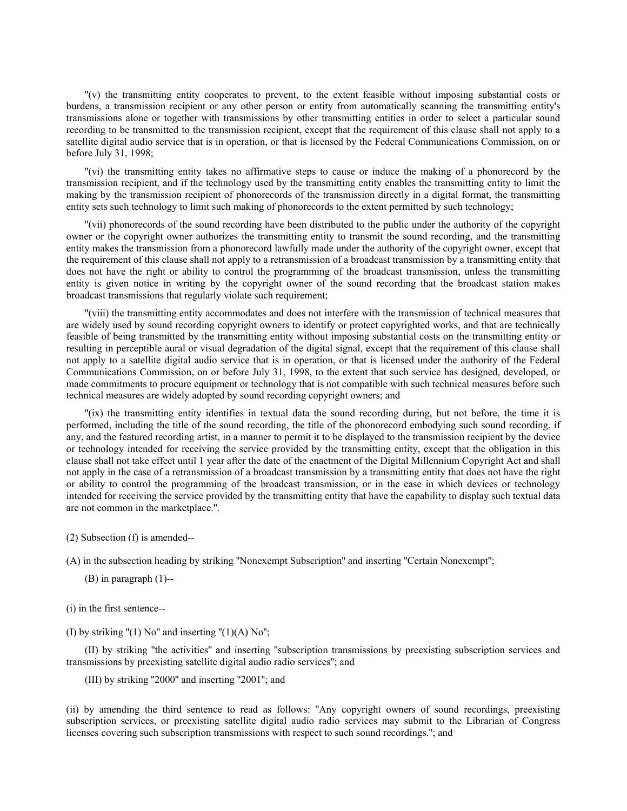''(v) the transmitting entity cooperates to prevent, to the extent feasible without imposing substantial costs or burdens, a transmission recipient or any other person or entity from automatically scanning the transmitting entity's transmissions alone or together with transmissions by other transmitting entities in order to select a particular sound recording to be transmitted to the transmission recipient, except that the requirement of this clause shall not apply to a satellite digital audio service that is in operation, or that is licensed by the Federal Communications Commission, on or before July 31, 1998;

''(vi) the transmitting entity takes no affirmative steps to cause or induce the making of a phonorecord by the transmission recipient, and if the technology used by the transmitting entity enables the transmitting entity to limit the making by the transmission recipient of phonorecords of the transmission directly in a digital format, the transmitting entity sets such technology to limit such making of phonorecords to the extent permitted by such technology;

''(vii) phonorecords of the sound recording have been distributed to the public under the authority of the copyright owner or the copyright owner authorizes the transmitting entity to transmit the sound recording, and the transmitting entity makes the transmission from a phonorecord lawfully made under the authority of the copyright owner, except that the requirement of this clause shall not apply to a retransmission of a broadcast transmission by a transmitting entity that does not have the right or ability to control the programming of the broadcast transmission, unless the transmitting entity is given notice in writing by the copyright owner of the sound recording that the broadcast station makes broadcast transmissions that regularly violate such requirement;

''(viii) the transmitting entity accommodates and does not interfere with the transmission of technical measures that are widely used by sound recording copyright owners to identify or protect copyrighted works, and that are technically feasible of being transmitted by the transmitting entity without imposing substantial costs on the transmitting entity or resulting in perceptible aural or visual degradation of the digital signal, except that the requirement of this clause shall not apply to a satellite digital audio service that is in operation, or that is licensed under the authority of the Federal Communications Commission, on or before July 31, 1998, to the extent that such service has designed, developed, or made commitments to procure equipment or technology that is not compatible with such technical measures before such technical measures are widely adopted by sound recording copyright owners; and

''(ix) the transmitting entity identifies in textual data the sound recording during, but not before, the time it is performed, including the title of the sound recording, the title of the phonorecord embodying such sound recording, if any, and the featured recording artist, in a manner to permit it to be displayed to the transmission recipient by the device or technology intended for receiving the service provided by the transmitting entity, except that the obligation in this clause shall not take effect until 1 year after the date of the enactment of the Digital Millennium Copyright Act and shall not apply in the case of a retransmission of a broadcast transmission by a transmitting entity that does not have the right or ability to control the programming of the broadcast transmission, or in the case in which devices or technology intended for receiving the service provided by the transmitting entity that have the capability to display such textual data are not common in the marketplace.''.

(2) Subsection (f) is amended--

(A) in the subsection heading by striking ''Nonexempt Subscription'' and inserting ''Certain Nonexempt'';

- (B) in paragraph (1)--
- (i) in the first sentence--
- (I) by striking " $(1)$  No" and inserting " $(1)(A)$  No";

(II) by striking ''the activities'' and inserting ''subscription transmissions by preexisting subscription services and transmissions by preexisting satellite digital audio radio services''; and

(III) by striking ''2000'' and inserting ''2001''; and

(ii) by amending the third sentence to read as follows: ''Any copyright owners of sound recordings, preexisting subscription services, or preexisting satellite digital audio radio services may submit to the Librarian of Congress licenses covering such subscription transmissions with respect to such sound recordings.''; and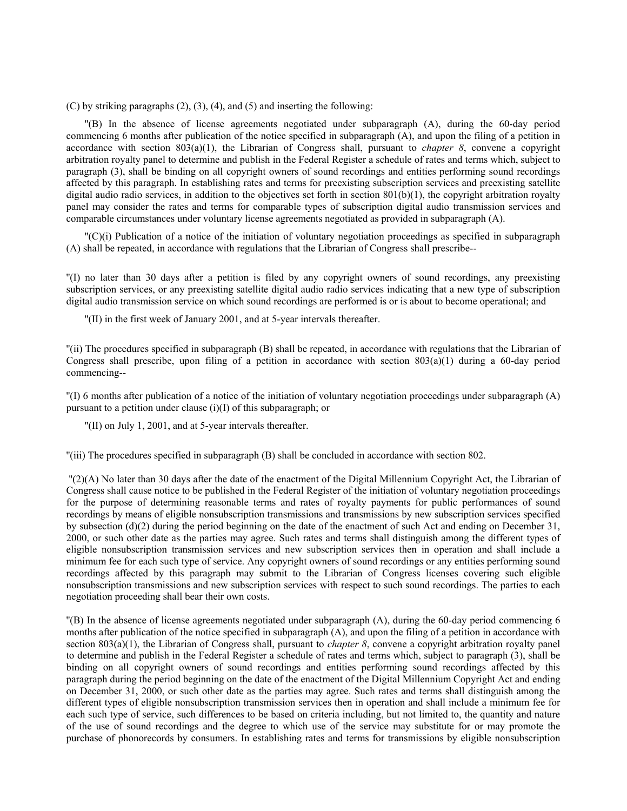(C) by striking paragraphs  $(2)$ ,  $(3)$ ,  $(4)$ , and  $(5)$  and inserting the following:

''(B) In the absence of license agreements negotiated under subparagraph (A), during the 60-day period commencing 6 months after publication of the notice specified in subparagraph (A), and upon the filing of a petition in accordance with section  $803(a)(1)$ , the Librarian of Congress shall, pursuant to *chapter 8*, convene a copyright arbitration royalty panel to determine and publish in the Federal Register a schedule of rates and terms which, subject to paragraph (3), shall be binding on all copyright owners of sound recordings and entities performing sound recordings affected by this paragraph. In establishing rates and terms for preexisting subscription services and preexisting satellite digital audio radio services, in addition to the objectives set forth in section  $801(b)(1)$ , the copyright arbitration royalty panel may consider the rates and terms for comparable types of subscription digital audio transmission services and comparable circumstances under voluntary license agreements negotiated as provided in subparagraph (A).

''(C)(i) Publication of a notice of the initiation of voluntary negotiation proceedings as specified in subparagraph (A) shall be repeated, in accordance with regulations that the Librarian of Congress shall prescribe--

''(I) no later than 30 days after a petition is filed by any copyright owners of sound recordings, any preexisting subscription services, or any preexisting satellite digital audio radio services indicating that a new type of subscription digital audio transmission service on which sound recordings are performed is or is about to become operational; and

''(II) in the first week of January 2001, and at 5-year intervals thereafter.

''(ii) The procedures specified in subparagraph (B) shall be repeated, in accordance with regulations that the Librarian of Congress shall prescribe, upon filing of a petition in accordance with section  $803(a)(1)$  during a 60-day period commencing--

''(I) 6 months after publication of a notice of the initiation of voluntary negotiation proceedings under subparagraph (A) pursuant to a petition under clause (i)(I) of this subparagraph; or

''(II) on July 1, 2001, and at 5-year intervals thereafter.

''(iii) The procedures specified in subparagraph (B) shall be concluded in accordance with section 802.

 ''(2)(A) No later than 30 days after the date of the enactment of the Digital Millennium Copyright Act, the Librarian of Congress shall cause notice to be published in the Federal Register of the initiation of voluntary negotiation proceedings for the purpose of determining reasonable terms and rates of royalty payments for public performances of sound recordings by means of eligible nonsubscription transmissions and transmissions by new subscription services specified by subsection (d)(2) during the period beginning on the date of the enactment of such Act and ending on December 31, 2000, or such other date as the parties may agree. Such rates and terms shall distinguish among the different types of eligible nonsubscription transmission services and new subscription services then in operation and shall include a minimum fee for each such type of service. Any copyright owners of sound recordings or any entities performing sound recordings affected by this paragraph may submit to the Librarian of Congress licenses covering such eligible nonsubscription transmissions and new subscription services with respect to such sound recordings. The parties to each negotiation proceeding shall bear their own costs.

''(B) In the absence of license agreements negotiated under subparagraph (A), during the 60-day period commencing 6 months after publication of the notice specified in subparagraph (A), and upon the filing of a petition in accordance with section 803(a)(1), the Librarian of Congress shall, pursuant to *chapter 8*, convene a copyright arbitration royalty panel to determine and publish in the Federal Register a schedule of rates and terms which, subject to paragraph (3), shall be binding on all copyright owners of sound recordings and entities performing sound recordings affected by this paragraph during the period beginning on the date of the enactment of the Digital Millennium Copyright Act and ending on December 31, 2000, or such other date as the parties may agree. Such rates and terms shall distinguish among the different types of eligible nonsubscription transmission services then in operation and shall include a minimum fee for each such type of service, such differences to be based on criteria including, but not limited to, the quantity and nature of the use of sound recordings and the degree to which use of the service may substitute for or may promote the purchase of phonorecords by consumers. In establishing rates and terms for transmissions by eligible nonsubscription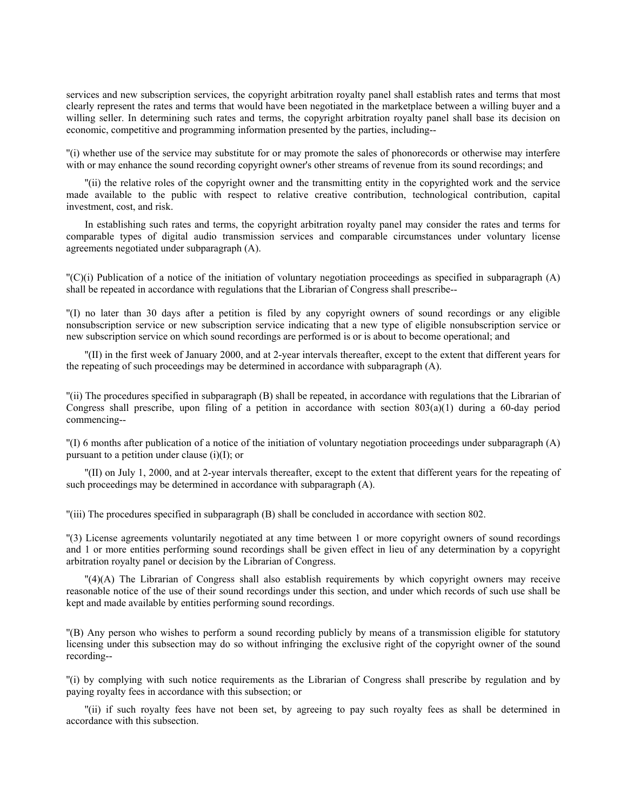services and new subscription services, the copyright arbitration royalty panel shall establish rates and terms that most clearly represent the rates and terms that would have been negotiated in the marketplace between a willing buyer and a willing seller. In determining such rates and terms, the copyright arbitration royalty panel shall base its decision on economic, competitive and programming information presented by the parties, including--

''(i) whether use of the service may substitute for or may promote the sales of phonorecords or otherwise may interfere with or may enhance the sound recording copyright owner's other streams of revenue from its sound recordings; and

''(ii) the relative roles of the copyright owner and the transmitting entity in the copyrighted work and the service made available to the public with respect to relative creative contribution, technological contribution, capital investment, cost, and risk.

In establishing such rates and terms, the copyright arbitration royalty panel may consider the rates and terms for comparable types of digital audio transmission services and comparable circumstances under voluntary license agreements negotiated under subparagraph (A).

''(C)(i) Publication of a notice of the initiation of voluntary negotiation proceedings as specified in subparagraph (A) shall be repeated in accordance with regulations that the Librarian of Congress shall prescribe--

''(I) no later than 30 days after a petition is filed by any copyright owners of sound recordings or any eligible nonsubscription service or new subscription service indicating that a new type of eligible nonsubscription service or new subscription service on which sound recordings are performed is or is about to become operational; and

''(II) in the first week of January 2000, and at 2-year intervals thereafter, except to the extent that different years for the repeating of such proceedings may be determined in accordance with subparagraph (A).

''(ii) The procedures specified in subparagraph (B) shall be repeated, in accordance with regulations that the Librarian of Congress shall prescribe, upon filing of a petition in accordance with section  $803(a)(1)$  during a 60-day period commencing--

''(I) 6 months after publication of a notice of the initiation of voluntary negotiation proceedings under subparagraph (A) pursuant to a petition under clause  $(i)(I)$ ; or

''(II) on July 1, 2000, and at 2-year intervals thereafter, except to the extent that different years for the repeating of such proceedings may be determined in accordance with subparagraph (A).

''(iii) The procedures specified in subparagraph (B) shall be concluded in accordance with section 802.

''(3) License agreements voluntarily negotiated at any time between 1 or more copyright owners of sound recordings and 1 or more entities performing sound recordings shall be given effect in lieu of any determination by a copyright arbitration royalty panel or decision by the Librarian of Congress.

''(4)(A) The Librarian of Congress shall also establish requirements by which copyright owners may receive reasonable notice of the use of their sound recordings under this section, and under which records of such use shall be kept and made available by entities performing sound recordings.

''(B) Any person who wishes to perform a sound recording publicly by means of a transmission eligible for statutory licensing under this subsection may do so without infringing the exclusive right of the copyright owner of the sound recording--

''(i) by complying with such notice requirements as the Librarian of Congress shall prescribe by regulation and by paying royalty fees in accordance with this subsection; or

''(ii) if such royalty fees have not been set, by agreeing to pay such royalty fees as shall be determined in accordance with this subsection.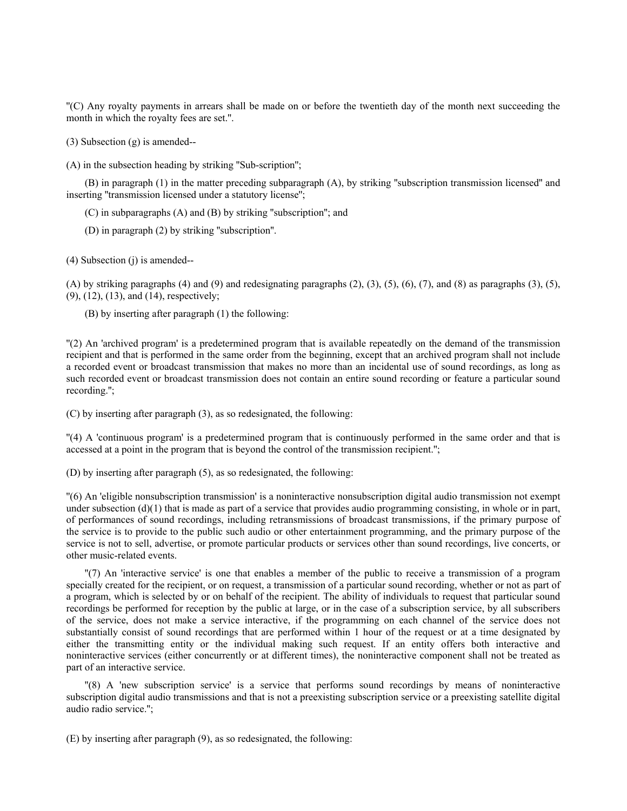''(C) Any royalty payments in arrears shall be made on or before the twentieth day of the month next succeeding the month in which the royalty fees are set.''.

(3) Subsection (g) is amended--

(A) in the subsection heading by striking ''Sub-scription'';

(B) in paragraph (1) in the matter preceding subparagraph (A), by striking ''subscription transmission licensed'' and inserting "transmission licensed under a statutory license";

(C) in subparagraphs (A) and (B) by striking ''subscription''; and

(D) in paragraph (2) by striking ''subscription''.

(4) Subsection (j) is amended--

(A) by striking paragraphs (4) and (9) and redesignating paragraphs  $(2)$ ,  $(3)$ ,  $(5)$ ,  $(6)$ ,  $(7)$ , and  $(8)$  as paragraphs  $(3)$ ,  $(5)$ , (9), (12), (13), and (14), respectively;

(B) by inserting after paragraph (1) the following:

''(2) An 'archived program' is a predetermined program that is available repeatedly on the demand of the transmission recipient and that is performed in the same order from the beginning, except that an archived program shall not include a recorded event or broadcast transmission that makes no more than an incidental use of sound recordings, as long as such recorded event or broadcast transmission does not contain an entire sound recording or feature a particular sound recording.'';

(C) by inserting after paragraph (3), as so redesignated, the following:

''(4) A 'continuous program' is a predetermined program that is continuously performed in the same order and that is accessed at a point in the program that is beyond the control of the transmission recipient.'';

(D) by inserting after paragraph (5), as so redesignated, the following:

''(6) An 'eligible nonsubscription transmission' is a noninteractive nonsubscription digital audio transmission not exempt under subsection  $(d)(1)$  that is made as part of a service that provides audio programming consisting, in whole or in part, of performances of sound recordings, including retransmissions of broadcast transmissions, if the primary purpose of the service is to provide to the public such audio or other entertainment programming, and the primary purpose of the service is not to sell, advertise, or promote particular products or services other than sound recordings, live concerts, or other music-related events.

''(7) An 'interactive service' is one that enables a member of the public to receive a transmission of a program specially created for the recipient, or on request, a transmission of a particular sound recording, whether or not as part of a program, which is selected by or on behalf of the recipient. The ability of individuals to request that particular sound recordings be performed for reception by the public at large, or in the case of a subscription service, by all subscribers of the service, does not make a service interactive, if the programming on each channel of the service does not substantially consist of sound recordings that are performed within 1 hour of the request or at a time designated by either the transmitting entity or the individual making such request. If an entity offers both interactive and noninteractive services (either concurrently or at different times), the noninteractive component shall not be treated as part of an interactive service.

''(8) A 'new subscription service' is a service that performs sound recordings by means of noninteractive subscription digital audio transmissions and that is not a preexisting subscription service or a preexisting satellite digital audio radio service.'';

(E) by inserting after paragraph (9), as so redesignated, the following: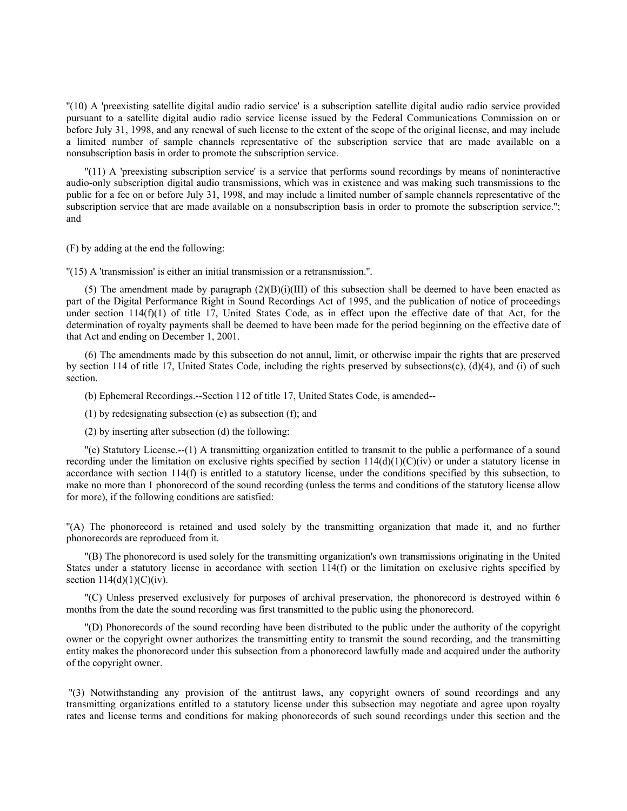''(10) A 'preexisting satellite digital audio radio service' is a subscription satellite digital audio radio service provided pursuant to a satellite digital audio radio service license issued by the Federal Communications Commission on or before July 31, 1998, and any renewal of such license to the extent of the scope of the original license, and may include a limited number of sample channels representative of the subscription service that are made available on a nonsubscription basis in order to promote the subscription service.

''(11) A 'preexisting subscription service' is a service that performs sound recordings by means of noninteractive audio-only subscription digital audio transmissions, which was in existence and was making such transmissions to the public for a fee on or before July 31, 1998, and may include a limited number of sample channels representative of the subscription service that are made available on a nonsubscription basis in order to promote the subscription service.''; and

(F) by adding at the end the following:

''(15) A 'transmission' is either an initial transmission or a retransmission.''.

(5) The amendment made by paragraph  $(2)(B)(i)(III)$  of this subsection shall be deemed to have been enacted as part of the Digital Performance Right in Sound Recordings Act of 1995, and the publication of notice of proceedings under section 114(f)(1) of title 17, United States Code, as in effect upon the effective date of that Act, for the determination of royalty payments shall be deemed to have been made for the period beginning on the effective date of that Act and ending on December 1, 2001.

(6) The amendments made by this subsection do not annul, limit, or otherwise impair the rights that are preserved by section 114 of title 17, United States Code, including the rights preserved by subsections(c), (d)(4), and (i) of such section.

(b) Ephemeral Recordings.--Section 112 of title 17, United States Code, is amended--

(1) by redesignating subsection (e) as subsection (f); and

(2) by inserting after subsection (d) the following:

''(e) Statutory License.--(1) A transmitting organization entitled to transmit to the public a performance of a sound recording under the limitation on exclusive rights specified by section  $114(d)(1)(C)(iv)$  or under a statutory license in accordance with section 114(f) is entitled to a statutory license, under the conditions specified by this subsection, to make no more than 1 phonorecord of the sound recording (unless the terms and conditions of the statutory license allow for more), if the following conditions are satisfied:

''(A) The phonorecord is retained and used solely by the transmitting organization that made it, and no further phonorecords are reproduced from it.

''(B) The phonorecord is used solely for the transmitting organization's own transmissions originating in the United States under a statutory license in accordance with section 114(f) or the limitation on exclusive rights specified by section  $114(d)(1)(C)(iv)$ .

''(C) Unless preserved exclusively for purposes of archival preservation, the phonorecord is destroyed within 6 months from the date the sound recording was first transmitted to the public using the phonorecord.

''(D) Phonorecords of the sound recording have been distributed to the public under the authority of the copyright owner or the copyright owner authorizes the transmitting entity to transmit the sound recording, and the transmitting entity makes the phonorecord under this subsection from a phonorecord lawfully made and acquired under the authority of the copyright owner.

 ''(3) Notwithstanding any provision of the antitrust laws, any copyright owners of sound recordings and any transmitting organizations entitled to a statutory license under this subsection may negotiate and agree upon royalty rates and license terms and conditions for making phonorecords of such sound recordings under this section and the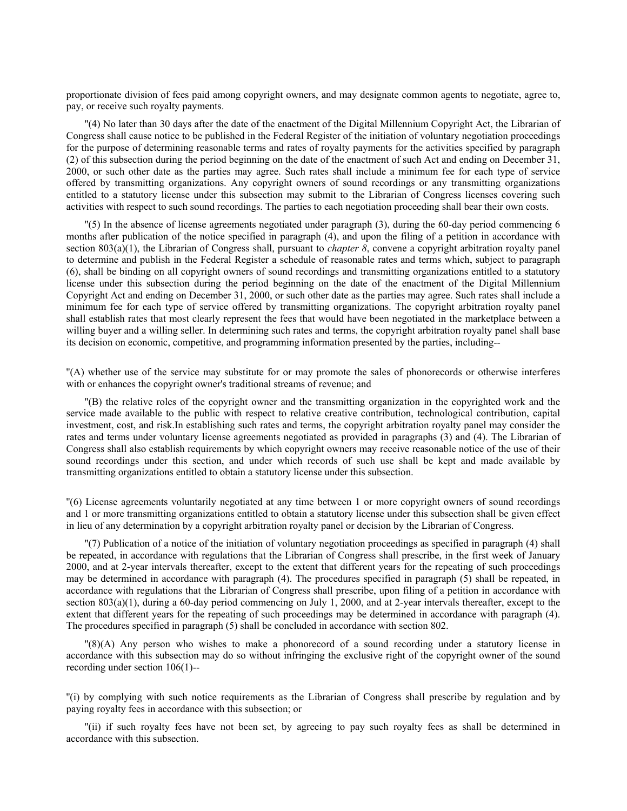proportionate division of fees paid among copyright owners, and may designate common agents to negotiate, agree to, pay, or receive such royalty payments.

''(4) No later than 30 days after the date of the enactment of the Digital Millennium Copyright Act, the Librarian of Congress shall cause notice to be published in the Federal Register of the initiation of voluntary negotiation proceedings for the purpose of determining reasonable terms and rates of royalty payments for the activities specified by paragraph (2) of this subsection during the period beginning on the date of the enactment of such Act and ending on December 31, 2000, or such other date as the parties may agree. Such rates shall include a minimum fee for each type of service offered by transmitting organizations. Any copyright owners of sound recordings or any transmitting organizations entitled to a statutory license under this subsection may submit to the Librarian of Congress licenses covering such activities with respect to such sound recordings. The parties to each negotiation proceeding shall bear their own costs.

''(5) In the absence of license agreements negotiated under paragraph (3), during the 60-day period commencing 6 months after publication of the notice specified in paragraph (4), and upon the filing of a petition in accordance with section 803(a)(1), the Librarian of Congress shall, pursuant to *chapter 8*, convene a copyright arbitration royalty panel to determine and publish in the Federal Register a schedule of reasonable rates and terms which, subject to paragraph (6), shall be binding on all copyright owners of sound recordings and transmitting organizations entitled to a statutory license under this subsection during the period beginning on the date of the enactment of the Digital Millennium Copyright Act and ending on December 31, 2000, or such other date as the parties may agree. Such rates shall include a minimum fee for each type of service offered by transmitting organizations. The copyright arbitration royalty panel shall establish rates that most clearly represent the fees that would have been negotiated in the marketplace between a willing buyer and a willing seller. In determining such rates and terms, the copyright arbitration royalty panel shall base its decision on economic, competitive, and programming information presented by the parties, including--

''(A) whether use of the service may substitute for or may promote the sales of phonorecords or otherwise interferes with or enhances the copyright owner's traditional streams of revenue; and

''(B) the relative roles of the copyright owner and the transmitting organization in the copyrighted work and the service made available to the public with respect to relative creative contribution, technological contribution, capital investment, cost, and risk.In establishing such rates and terms, the copyright arbitration royalty panel may consider the rates and terms under voluntary license agreements negotiated as provided in paragraphs (3) and (4). The Librarian of Congress shall also establish requirements by which copyright owners may receive reasonable notice of the use of their sound recordings under this section, and under which records of such use shall be kept and made available by transmitting organizations entitled to obtain a statutory license under this subsection.

''(6) License agreements voluntarily negotiated at any time between 1 or more copyright owners of sound recordings and 1 or more transmitting organizations entitled to obtain a statutory license under this subsection shall be given effect in lieu of any determination by a copyright arbitration royalty panel or decision by the Librarian of Congress.

''(7) Publication of a notice of the initiation of voluntary negotiation proceedings as specified in paragraph (4) shall be repeated, in accordance with regulations that the Librarian of Congress shall prescribe, in the first week of January 2000, and at 2-year intervals thereafter, except to the extent that different years for the repeating of such proceedings may be determined in accordance with paragraph (4). The procedures specified in paragraph (5) shall be repeated, in accordance with regulations that the Librarian of Congress shall prescribe, upon filing of a petition in accordance with section  $803(a)(1)$ , during a 60-day period commencing on July 1, 2000, and at 2-year intervals thereafter, except to the extent that different years for the repeating of such proceedings may be determined in accordance with paragraph (4). The procedures specified in paragraph (5) shall be concluded in accordance with section 802.

''(8)(A) Any person who wishes to make a phonorecord of a sound recording under a statutory license in accordance with this subsection may do so without infringing the exclusive right of the copyright owner of the sound recording under section 106(1)--

''(i) by complying with such notice requirements as the Librarian of Congress shall prescribe by regulation and by paying royalty fees in accordance with this subsection; or

''(ii) if such royalty fees have not been set, by agreeing to pay such royalty fees as shall be determined in accordance with this subsection.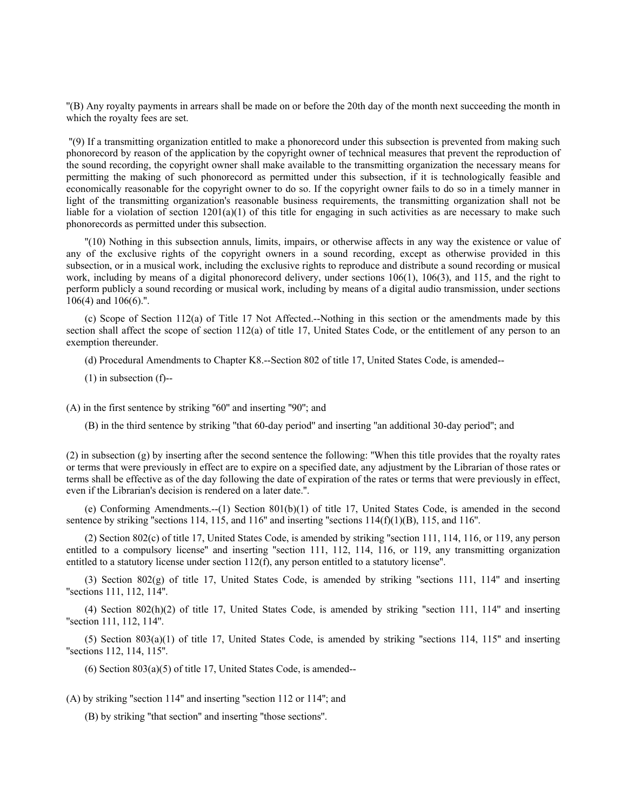''(B) Any royalty payments in arrears shall be made on or before the 20th day of the month next succeeding the month in which the royalty fees are set.

 ''(9) If a transmitting organization entitled to make a phonorecord under this subsection is prevented from making such phonorecord by reason of the application by the copyright owner of technical measures that prevent the reproduction of the sound recording, the copyright owner shall make available to the transmitting organization the necessary means for permitting the making of such phonorecord as permitted under this subsection, if it is technologically feasible and economically reasonable for the copyright owner to do so. If the copyright owner fails to do so in a timely manner in light of the transmitting organization's reasonable business requirements, the transmitting organization shall not be liable for a violation of section  $1201(a)(1)$  of this title for engaging in such activities as are necessary to make such phonorecords as permitted under this subsection.

''(10) Nothing in this subsection annuls, limits, impairs, or otherwise affects in any way the existence or value of any of the exclusive rights of the copyright owners in a sound recording, except as otherwise provided in this subsection, or in a musical work, including the exclusive rights to reproduce and distribute a sound recording or musical work, including by means of a digital phonorecord delivery, under sections 106(1), 106(3), and 115, and the right to perform publicly a sound recording or musical work, including by means of a digital audio transmission, under sections 106(4) and 106(6).''.

(c) Scope of Section 112(a) of Title 17 Not Affected.--Nothing in this section or the amendments made by this section shall affect the scope of section 112(a) of title 17, United States Code, or the entitlement of any person to an exemption thereunder.

(d) Procedural Amendments to Chapter K8.--Section 802 of title 17, United States Code, is amended--

(1) in subsection (f)--

(A) in the first sentence by striking ''60'' and inserting ''90''; and

(B) in the third sentence by striking ''that 60-day period'' and inserting ''an additional 30-day period''; and

(2) in subsection (g) by inserting after the second sentence the following: ''When this title provides that the royalty rates or terms that were previously in effect are to expire on a specified date, any adjustment by the Librarian of those rates or terms shall be effective as of the day following the date of expiration of the rates or terms that were previously in effect, even if the Librarian's decision is rendered on a later date.''.

(e) Conforming Amendments.--(1) Section 801(b)(1) of title 17, United States Code, is amended in the second sentence by striking "sections 114, 115, and 116" and inserting "sections  $114(f)(1)(B)$ , 115, and 116".

(2) Section 802(c) of title 17, United States Code, is amended by striking ''section 111, 114, 116, or 119, any person entitled to a compulsory license'' and inserting ''section 111, 112, 114, 116, or 119, any transmitting organization entitled to a statutory license under section  $112(f)$ , any person entitled to a statutory license".

(3) Section 802(g) of title 17, United States Code, is amended by striking ''sections 111, 114'' and inserting ''sections 111, 112, 114''.

(4) Section 802(h)(2) of title 17, United States Code, is amended by striking ''section 111, 114'' and inserting ''section 111, 112, 114''.

 $(5)$  Section 803(a)(1) of title 17, United States Code, is amended by striking "sections 114, 115" and inserting ''sections 112, 114, 115''.

 $(6)$  Section 803 $(a)(5)$  of title 17, United States Code, is amended--

(A) by striking ''section 114'' and inserting ''section 112 or 114''; and

(B) by striking ''that section'' and inserting ''those sections''.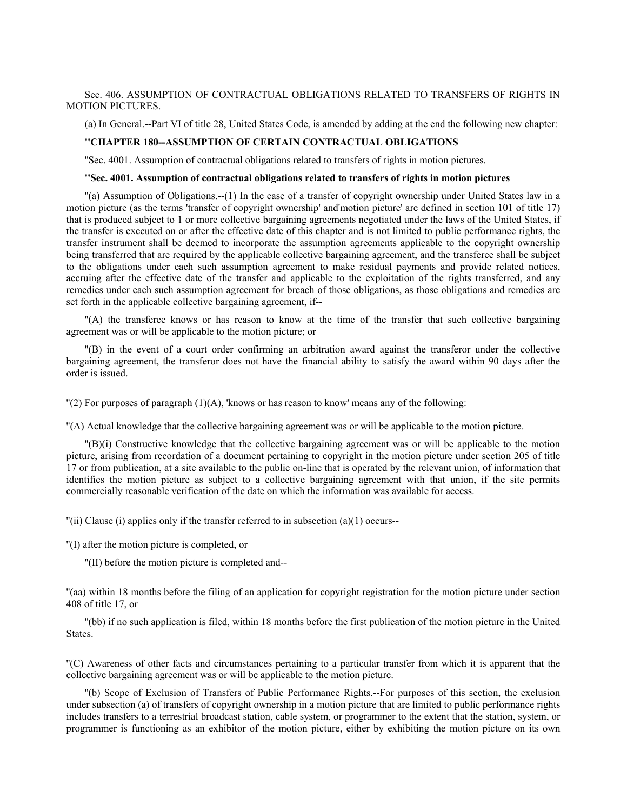## Sec. 406. ASSUMPTION OF CONTRACTUAL OBLIGATIONS RELATED TO TRANSFERS OF RIGHTS IN MOTION PICTURES.

(a) In General.--Part VI of title 28, United States Code, is amended by adding at the end the following new chapter:

#### **''CHAPTER 180--ASSUMPTION OF CERTAIN CONTRACTUAL OBLIGATIONS**

''Sec. 4001. Assumption of contractual obligations related to transfers of rights in motion pictures.

#### **''Sec. 4001. Assumption of contractual obligations related to transfers of rights in motion pictures**

''(a) Assumption of Obligations.--(1) In the case of a transfer of copyright ownership under United States law in a motion picture (as the terms 'transfer of copyright ownership' and'motion picture' are defined in section 101 of title 17) that is produced subject to 1 or more collective bargaining agreements negotiated under the laws of the United States, if the transfer is executed on or after the effective date of this chapter and is not limited to public performance rights, the transfer instrument shall be deemed to incorporate the assumption agreements applicable to the copyright ownership being transferred that are required by the applicable collective bargaining agreement, and the transferee shall be subject to the obligations under each such assumption agreement to make residual payments and provide related notices, accruing after the effective date of the transfer and applicable to the exploitation of the rights transferred, and any remedies under each such assumption agreement for breach of those obligations, as those obligations and remedies are set forth in the applicable collective bargaining agreement, if--

''(A) the transferee knows or has reason to know at the time of the transfer that such collective bargaining agreement was or will be applicable to the motion picture; or

''(B) in the event of a court order confirming an arbitration award against the transferor under the collective bargaining agreement, the transferor does not have the financial ability to satisfy the award within 90 days after the order is issued.

 $\Gamma(2)$  For purposes of paragraph (1)(A), 'knows or has reason to know' means any of the following:

''(A) Actual knowledge that the collective bargaining agreement was or will be applicable to the motion picture.

''(B)(i) Constructive knowledge that the collective bargaining agreement was or will be applicable to the motion picture, arising from recordation of a document pertaining to copyright in the motion picture under section 205 of title 17 or from publication, at a site available to the public on-line that is operated by the relevant union, of information that identifies the motion picture as subject to a collective bargaining agreement with that union, if the site permits commercially reasonable verification of the date on which the information was available for access.

 $\Gamma$ (ii) Clause (i) applies only if the transfer referred to in subsection (a)(1) occurs--

''(I) after the motion picture is completed, or

''(II) before the motion picture is completed and--

''(aa) within 18 months before the filing of an application for copyright registration for the motion picture under section 408 of title 17, or

''(bb) if no such application is filed, within 18 months before the first publication of the motion picture in the United States.

''(C) Awareness of other facts and circumstances pertaining to a particular transfer from which it is apparent that the collective bargaining agreement was or will be applicable to the motion picture.

''(b) Scope of Exclusion of Transfers of Public Performance Rights.--For purposes of this section, the exclusion under subsection (a) of transfers of copyright ownership in a motion picture that are limited to public performance rights includes transfers to a terrestrial broadcast station, cable system, or programmer to the extent that the station, system, or programmer is functioning as an exhibitor of the motion picture, either by exhibiting the motion picture on its own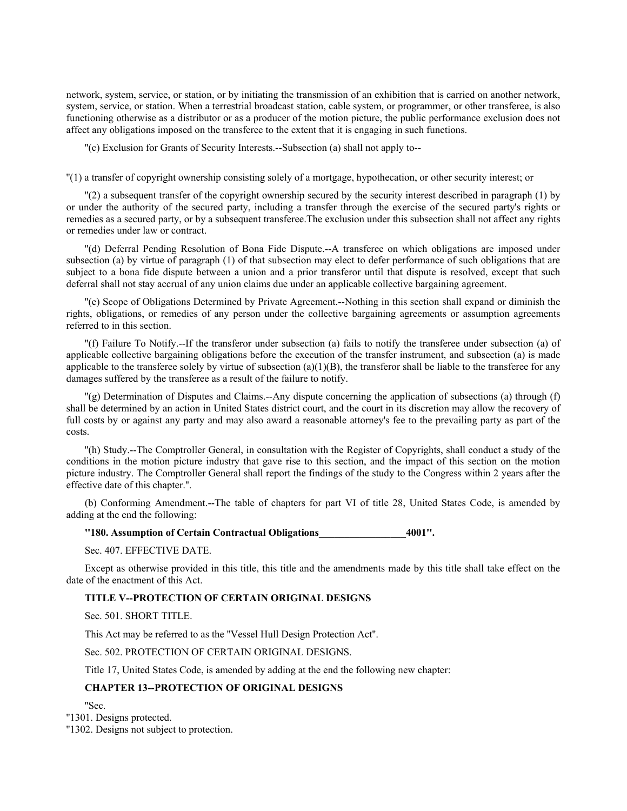network, system, service, or station, or by initiating the transmission of an exhibition that is carried on another network, system, service, or station. When a terrestrial broadcast station, cable system, or programmer, or other transferee, is also functioning otherwise as a distributor or as a producer of the motion picture, the public performance exclusion does not affect any obligations imposed on the transferee to the extent that it is engaging in such functions.

''(c) Exclusion for Grants of Security Interests.--Subsection (a) shall not apply to--

''(1) a transfer of copyright ownership consisting solely of a mortgage, hypothecation, or other security interest; or

''(2) a subsequent transfer of the copyright ownership secured by the security interest described in paragraph (1) by or under the authority of the secured party, including a transfer through the exercise of the secured party's rights or remedies as a secured party, or by a subsequent transferee.The exclusion under this subsection shall not affect any rights or remedies under law or contract.

''(d) Deferral Pending Resolution of Bona Fide Dispute.--A transferee on which obligations are imposed under subsection (a) by virtue of paragraph (1) of that subsection may elect to defer performance of such obligations that are subject to a bona fide dispute between a union and a prior transferor until that dispute is resolved, except that such deferral shall not stay accrual of any union claims due under an applicable collective bargaining agreement.

''(e) Scope of Obligations Determined by Private Agreement.--Nothing in this section shall expand or diminish the rights, obligations, or remedies of any person under the collective bargaining agreements or assumption agreements referred to in this section.

''(f) Failure To Notify.--If the transferor under subsection (a) fails to notify the transferee under subsection (a) of applicable collective bargaining obligations before the execution of the transfer instrument, and subsection (a) is made applicable to the transferee solely by virtue of subsection  $(a)(1)(B)$ , the transferor shall be liable to the transferee for any damages suffered by the transferee as a result of the failure to notify.

''(g) Determination of Disputes and Claims.--Any dispute concerning the application of subsections (a) through (f) shall be determined by an action in United States district court, and the court in its discretion may allow the recovery of full costs by or against any party and may also award a reasonable attorney's fee to the prevailing party as part of the costs.

''(h) Study.--The Comptroller General, in consultation with the Register of Copyrights, shall conduct a study of the conditions in the motion picture industry that gave rise to this section, and the impact of this section on the motion picture industry. The Comptroller General shall report the findings of the study to the Congress within 2 years after the effective date of this chapter.''.

(b) Conforming Amendment.--The table of chapters for part VI of title 28, United States Code, is amended by adding at the end the following:

**''180. Assumption of Certain Contractual Obligations\_\_\_\_\_\_\_\_\_\_\_\_\_\_\_\_\_4001''.**

Sec. 407. EFFECTIVE DATE.

Except as otherwise provided in this title, this title and the amendments made by this title shall take effect on the date of the enactment of this Act.

## **TITLE V--PROTECTION OF CERTAIN ORIGINAL DESIGNS**

Sec. 501. SHORT TITLE.

This Act may be referred to as the ''Vessel Hull Design Protection Act''.

Sec. 502. PROTECTION OF CERTAIN ORIGINAL DESIGNS.

Title 17, United States Code, is amended by adding at the end the following new chapter:

# **CHAPTER 13--PROTECTION OF ORIGINAL DESIGNS**

''Sec.

''1301. Designs protected.

''1302. Designs not subject to protection.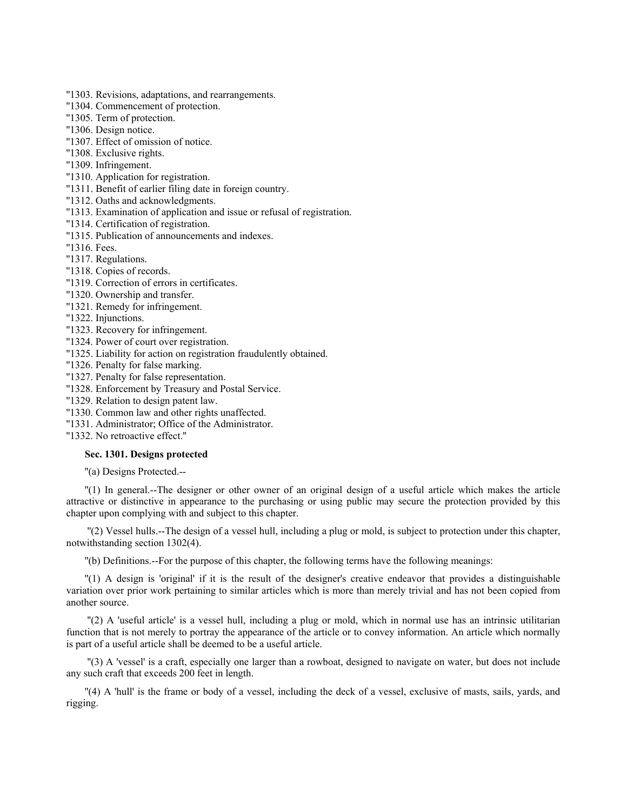- ''1303. Revisions, adaptations, and rearrangements.
- ''1304. Commencement of protection.
- ''1305. Term of protection.
- ''1306. Design notice.
- ''1307. Effect of omission of notice.
- ''1308. Exclusive rights.
- ''1309. Infringement.
- ''1310. Application for registration.
- ''1311. Benefit of earlier filing date in foreign country.
- ''1312. Oaths and acknowledgments.
- ''1313. Examination of application and issue or refusal of registration.
- ''1314. Certification of registration.
- ''1315. Publication of announcements and indexes.
- ''1316. Fees.
- ''1317. Regulations.
- ''1318. Copies of records.
- ''1319. Correction of errors in certificates.
- ''1320. Ownership and transfer.
- ''1321. Remedy for infringement.
- ''1322. Injunctions.
- ''1323. Recovery for infringement.
- ''1324. Power of court over registration.
- ''1325. Liability for action on registration fraudulently obtained.
- ''1326. Penalty for false marking.
- ''1327. Penalty for false representation.
- ''1328. Enforcement by Treasury and Postal Service.
- ''1329. Relation to design patent law.
- ''1330. Common law and other rights unaffected.
- ''1331. Administrator; Office of the Administrator.

''1332. No retroactive effect.''

### **Sec. 1301. Designs protected**

''(a) Designs Protected.--

''(1) In general.--The designer or other owner of an original design of a useful article which makes the article attractive or distinctive in appearance to the purchasing or using public may secure the protection provided by this chapter upon complying with and subject to this chapter.

 ''(2) Vessel hulls.--The design of a vessel hull, including a plug or mold, is subject to protection under this chapter, notwithstanding section 1302(4).

''(b) Definitions.--For the purpose of this chapter, the following terms have the following meanings:

''(1) A design is 'original' if it is the result of the designer's creative endeavor that provides a distinguishable variation over prior work pertaining to similar articles which is more than merely trivial and has not been copied from another source.

 ''(2) A 'useful article' is a vessel hull, including a plug or mold, which in normal use has an intrinsic utilitarian function that is not merely to portray the appearance of the article or to convey information. An article which normally is part of a useful article shall be deemed to be a useful article.

 ''(3) A 'vessel' is a craft, especially one larger than a rowboat, designed to navigate on water, but does not include any such craft that exceeds 200 feet in length.

''(4) A 'hull' is the frame or body of a vessel, including the deck of a vessel, exclusive of masts, sails, yards, and rigging.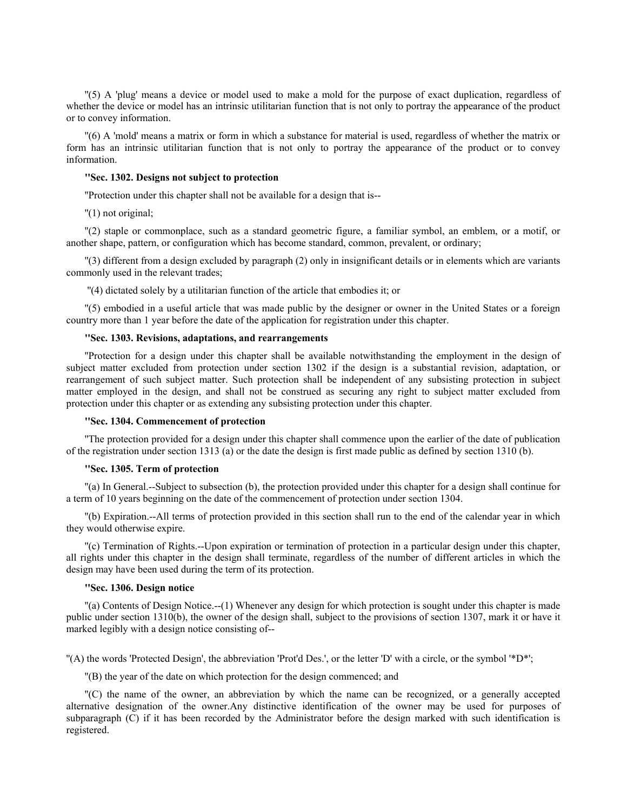''(5) A 'plug' means a device or model used to make a mold for the purpose of exact duplication, regardless of whether the device or model has an intrinsic utilitarian function that is not only to portray the appearance of the product or to convey information.

''(6) A 'mold' means a matrix or form in which a substance for material is used, regardless of whether the matrix or form has an intrinsic utilitarian function that is not only to portray the appearance of the product or to convey information.

#### **''Sec. 1302. Designs not subject to protection**

''Protection under this chapter shall not be available for a design that is--

''(1) not original;

''(2) staple or commonplace, such as a standard geometric figure, a familiar symbol, an emblem, or a motif, or another shape, pattern, or configuration which has become standard, common, prevalent, or ordinary;

''(3) different from a design excluded by paragraph (2) only in insignificant details or in elements which are variants commonly used in the relevant trades;

''(4) dictated solely by a utilitarian function of the article that embodies it; or

''(5) embodied in a useful article that was made public by the designer or owner in the United States or a foreign country more than 1 year before the date of the application for registration under this chapter.

# **''Sec. 1303. Revisions, adaptations, and rearrangements**

''Protection for a design under this chapter shall be available notwithstanding the employment in the design of subject matter excluded from protection under section 1302 if the design is a substantial revision, adaptation, or rearrangement of such subject matter. Such protection shall be independent of any subsisting protection in subject matter employed in the design, and shall not be construed as securing any right to subject matter excluded from protection under this chapter or as extending any subsisting protection under this chapter.

## **''Sec. 1304. Commencement of protection**

''The protection provided for a design under this chapter shall commence upon the earlier of the date of publication of the registration under section 1313 (a) or the date the design is first made public as defined by section 1310 (b).

### **''Sec. 1305. Term of protection**

''(a) In General.--Subject to subsection (b), the protection provided under this chapter for a design shall continue for a term of 10 years beginning on the date of the commencement of protection under section 1304.

''(b) Expiration.--All terms of protection provided in this section shall run to the end of the calendar year in which they would otherwise expire.

''(c) Termination of Rights.--Upon expiration or termination of protection in a particular design under this chapter, all rights under this chapter in the design shall terminate, regardless of the number of different articles in which the design may have been used during the term of its protection.

## **''Sec. 1306. Design notice**

''(a) Contents of Design Notice.--(1) Whenever any design for which protection is sought under this chapter is made public under section 1310(b), the owner of the design shall, subject to the provisions of section 1307, mark it or have it marked legibly with a design notice consisting of--

''(A) the words 'Protected Design', the abbreviation 'Prot'd Des.', or the letter 'D' with a circle, or the symbol '\*D\*';

''(B) the year of the date on which protection for the design commenced; and

''(C) the name of the owner, an abbreviation by which the name can be recognized, or a generally accepted alternative designation of the owner.Any distinctive identification of the owner may be used for purposes of subparagraph (C) if it has been recorded by the Administrator before the design marked with such identification is registered.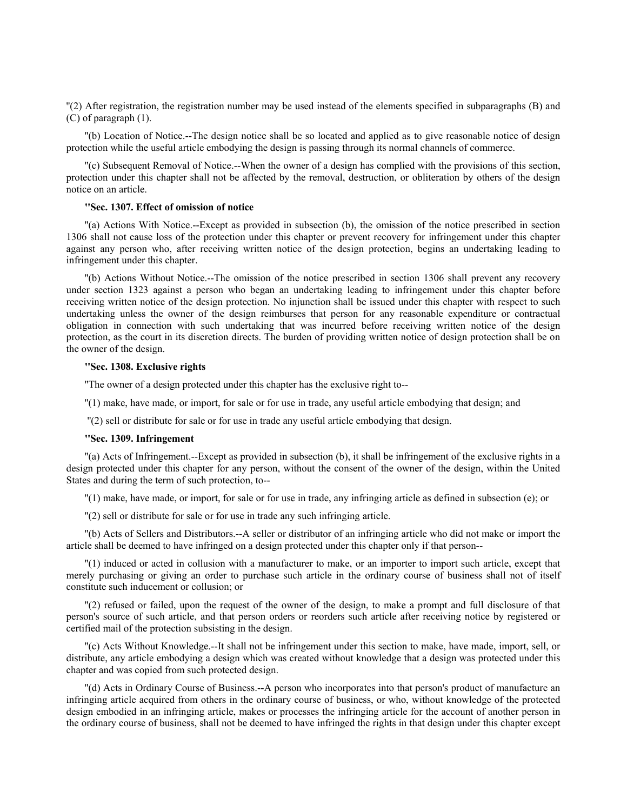''(2) After registration, the registration number may be used instead of the elements specified in subparagraphs (B) and (C) of paragraph (1).

''(b) Location of Notice.--The design notice shall be so located and applied as to give reasonable notice of design protection while the useful article embodying the design is passing through its normal channels of commerce.

''(c) Subsequent Removal of Notice.--When the owner of a design has complied with the provisions of this section, protection under this chapter shall not be affected by the removal, destruction, or obliteration by others of the design notice on an article.

## **''Sec. 1307. Effect of omission of notice**

''(a) Actions With Notice.--Except as provided in subsection (b), the omission of the notice prescribed in section 1306 shall not cause loss of the protection under this chapter or prevent recovery for infringement under this chapter against any person who, after receiving written notice of the design protection, begins an undertaking leading to infringement under this chapter.

''(b) Actions Without Notice.--The omission of the notice prescribed in section 1306 shall prevent any recovery under section 1323 against a person who began an undertaking leading to infringement under this chapter before receiving written notice of the design protection. No injunction shall be issued under this chapter with respect to such undertaking unless the owner of the design reimburses that person for any reasonable expenditure or contractual obligation in connection with such undertaking that was incurred before receiving written notice of the design protection, as the court in its discretion directs. The burden of providing written notice of design protection shall be on the owner of the design.

#### **''Sec. 1308. Exclusive rights**

''The owner of a design protected under this chapter has the exclusive right to--

''(1) make, have made, or import, for sale or for use in trade, any useful article embodying that design; and

''(2) sell or distribute for sale or for use in trade any useful article embodying that design.

## **''Sec. 1309. Infringement**

''(a) Acts of Infringement.--Except as provided in subsection (b), it shall be infringement of the exclusive rights in a design protected under this chapter for any person, without the consent of the owner of the design, within the United States and during the term of such protection, to--

''(1) make, have made, or import, for sale or for use in trade, any infringing article as defined in subsection (e); or

''(2) sell or distribute for sale or for use in trade any such infringing article.

''(b) Acts of Sellers and Distributors.--A seller or distributor of an infringing article who did not make or import the article shall be deemed to have infringed on a design protected under this chapter only if that person--

''(1) induced or acted in collusion with a manufacturer to make, or an importer to import such article, except that merely purchasing or giving an order to purchase such article in the ordinary course of business shall not of itself constitute such inducement or collusion; or

''(2) refused or failed, upon the request of the owner of the design, to make a prompt and full disclosure of that person's source of such article, and that person orders or reorders such article after receiving notice by registered or certified mail of the protection subsisting in the design.

''(c) Acts Without Knowledge.--It shall not be infringement under this section to make, have made, import, sell, or distribute, any article embodying a design which was created without knowledge that a design was protected under this chapter and was copied from such protected design.

''(d) Acts in Ordinary Course of Business.--A person who incorporates into that person's product of manufacture an infringing article acquired from others in the ordinary course of business, or who, without knowledge of the protected design embodied in an infringing article, makes or processes the infringing article for the account of another person in the ordinary course of business, shall not be deemed to have infringed the rights in that design under this chapter except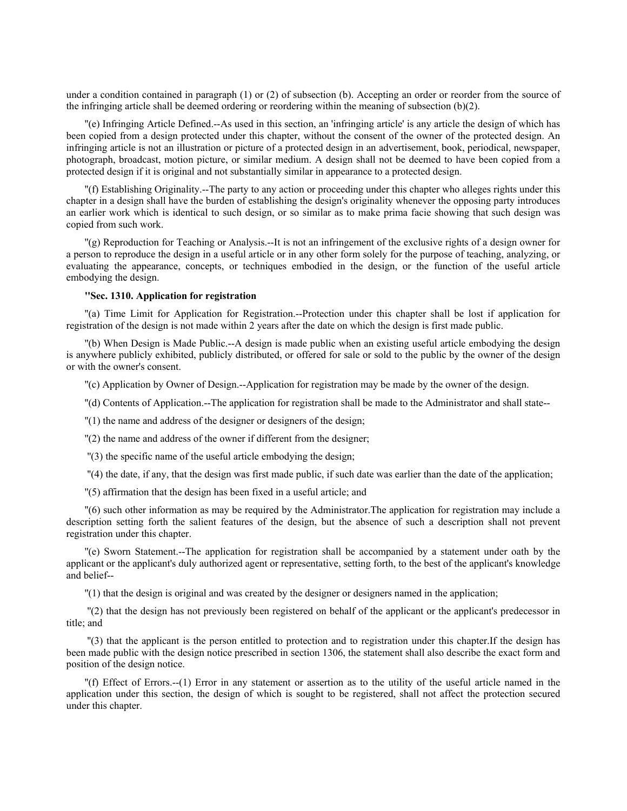under a condition contained in paragraph (1) or (2) of subsection (b). Accepting an order or reorder from the source of the infringing article shall be deemed ordering or reordering within the meaning of subsection (b)(2).

''(e) Infringing Article Defined.--As used in this section, an 'infringing article' is any article the design of which has been copied from a design protected under this chapter, without the consent of the owner of the protected design. An infringing article is not an illustration or picture of a protected design in an advertisement, book, periodical, newspaper, photograph, broadcast, motion picture, or similar medium. A design shall not be deemed to have been copied from a protected design if it is original and not substantially similar in appearance to a protected design.

''(f) Establishing Originality.--The party to any action or proceeding under this chapter who alleges rights under this chapter in a design shall have the burden of establishing the design's originality whenever the opposing party introduces an earlier work which is identical to such design, or so similar as to make prima facie showing that such design was copied from such work.

''(g) Reproduction for Teaching or Analysis.--It is not an infringement of the exclusive rights of a design owner for a person to reproduce the design in a useful article or in any other form solely for the purpose of teaching, analyzing, or evaluating the appearance, concepts, or techniques embodied in the design, or the function of the useful article embodying the design.

#### **''Sec. 1310. Application for registration**

''(a) Time Limit for Application for Registration.--Protection under this chapter shall be lost if application for registration of the design is not made within 2 years after the date on which the design is first made public.

''(b) When Design is Made Public.--A design is made public when an existing useful article embodying the design is anywhere publicly exhibited, publicly distributed, or offered for sale or sold to the public by the owner of the design or with the owner's consent.

''(c) Application by Owner of Design.--Application for registration may be made by the owner of the design.

''(d) Contents of Application.--The application for registration shall be made to the Administrator and shall state--

''(1) the name and address of the designer or designers of the design;

''(2) the name and address of the owner if different from the designer;

''(3) the specific name of the useful article embodying the design;

''(4) the date, if any, that the design was first made public, if such date was earlier than the date of the application;

''(5) affirmation that the design has been fixed in a useful article; and

''(6) such other information as may be required by the Administrator.The application for registration may include a description setting forth the salient features of the design, but the absence of such a description shall not prevent registration under this chapter.

''(e) Sworn Statement.--The application for registration shall be accompanied by a statement under oath by the applicant or the applicant's duly authorized agent or representative, setting forth, to the best of the applicant's knowledge and belief--

''(1) that the design is original and was created by the designer or designers named in the application;

 ''(2) that the design has not previously been registered on behalf of the applicant or the applicant's predecessor in title; and

 ''(3) that the applicant is the person entitled to protection and to registration under this chapter.If the design has been made public with the design notice prescribed in section 1306, the statement shall also describe the exact form and position of the design notice.

''(f) Effect of Errors.--(1) Error in any statement or assertion as to the utility of the useful article named in the application under this section, the design of which is sought to be registered, shall not affect the protection secured under this chapter.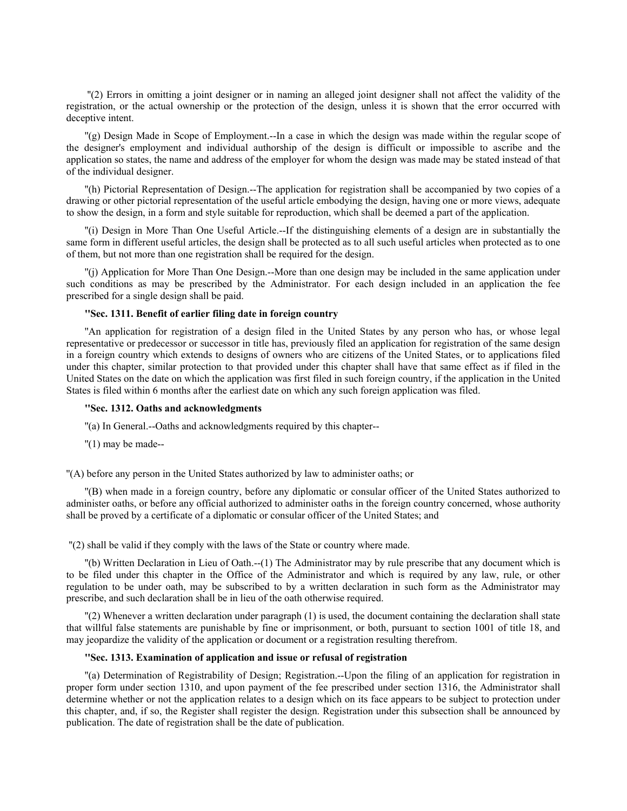''(2) Errors in omitting a joint designer or in naming an alleged joint designer shall not affect the validity of the registration, or the actual ownership or the protection of the design, unless it is shown that the error occurred with deceptive intent.

''(g) Design Made in Scope of Employment.--In a case in which the design was made within the regular scope of the designer's employment and individual authorship of the design is difficult or impossible to ascribe and the application so states, the name and address of the employer for whom the design was made may be stated instead of that of the individual designer.

''(h) Pictorial Representation of Design.--The application for registration shall be accompanied by two copies of a drawing or other pictorial representation of the useful article embodying the design, having one or more views, adequate to show the design, in a form and style suitable for reproduction, which shall be deemed a part of the application.

''(i) Design in More Than One Useful Article.--If the distinguishing elements of a design are in substantially the same form in different useful articles, the design shall be protected as to all such useful articles when protected as to one of them, but not more than one registration shall be required for the design.

''(j) Application for More Than One Design.--More than one design may be included in the same application under such conditions as may be prescribed by the Administrator. For each design included in an application the fee prescribed for a single design shall be paid.

### **''Sec. 1311. Benefit of earlier filing date in foreign country**

''An application for registration of a design filed in the United States by any person who has, or whose legal representative or predecessor or successor in title has, previously filed an application for registration of the same design in a foreign country which extends to designs of owners who are citizens of the United States, or to applications filed under this chapter, similar protection to that provided under this chapter shall have that same effect as if filed in the United States on the date on which the application was first filed in such foreign country, if the application in the United States is filed within 6 months after the earliest date on which any such foreign application was filed.

### **''Sec. 1312. Oaths and acknowledgments**

''(a) In General.--Oaths and acknowledgments required by this chapter--

 $''(1)$  may be made--

''(A) before any person in the United States authorized by law to administer oaths; or

''(B) when made in a foreign country, before any diplomatic or consular officer of the United States authorized to administer oaths, or before any official authorized to administer oaths in the foreign country concerned, whose authority shall be proved by a certificate of a diplomatic or consular officer of the United States; and

''(2) shall be valid if they comply with the laws of the State or country where made.

''(b) Written Declaration in Lieu of Oath.--(1) The Administrator may by rule prescribe that any document which is to be filed under this chapter in the Office of the Administrator and which is required by any law, rule, or other regulation to be under oath, may be subscribed to by a written declaration in such form as the Administrator may prescribe, and such declaration shall be in lieu of the oath otherwise required.

''(2) Whenever a written declaration under paragraph (1) is used, the document containing the declaration shall state that willful false statements are punishable by fine or imprisonment, or both, pursuant to section 1001 of title 18, and may jeopardize the validity of the application or document or a registration resulting therefrom.

## **''Sec. 1313. Examination of application and issue or refusal of registration**

''(a) Determination of Registrability of Design; Registration.--Upon the filing of an application for registration in proper form under section 1310, and upon payment of the fee prescribed under section 1316, the Administrator shall determine whether or not the application relates to a design which on its face appears to be subject to protection under this chapter, and, if so, the Register shall register the design. Registration under this subsection shall be announced by publication. The date of registration shall be the date of publication.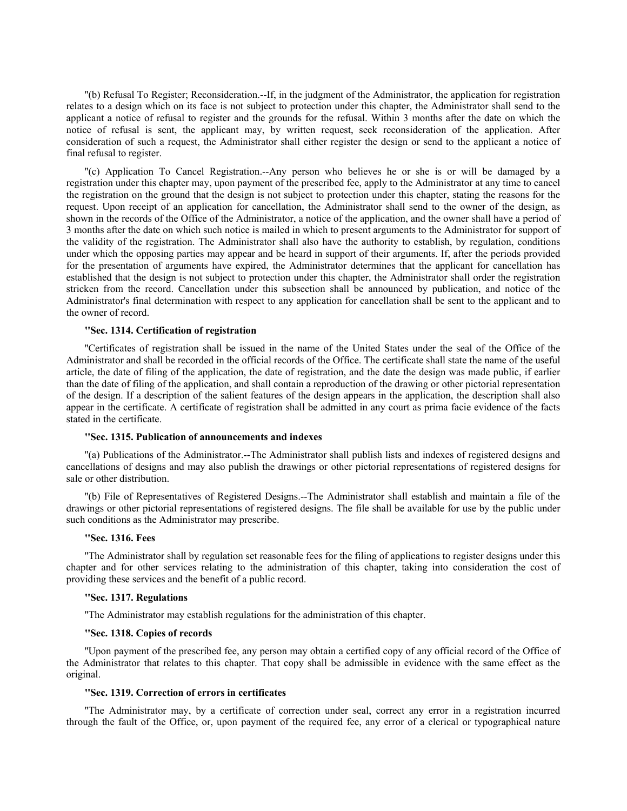''(b) Refusal To Register; Reconsideration.--If, in the judgment of the Administrator, the application for registration relates to a design which on its face is not subject to protection under this chapter, the Administrator shall send to the applicant a notice of refusal to register and the grounds for the refusal. Within 3 months after the date on which the notice of refusal is sent, the applicant may, by written request, seek reconsideration of the application. After consideration of such a request, the Administrator shall either register the design or send to the applicant a notice of final refusal to register.

''(c) Application To Cancel Registration.--Any person who believes he or she is or will be damaged by a registration under this chapter may, upon payment of the prescribed fee, apply to the Administrator at any time to cancel the registration on the ground that the design is not subject to protection under this chapter, stating the reasons for the request. Upon receipt of an application for cancellation, the Administrator shall send to the owner of the design, as shown in the records of the Office of the Administrator, a notice of the application, and the owner shall have a period of 3 months after the date on which such notice is mailed in which to present arguments to the Administrator for support of the validity of the registration. The Administrator shall also have the authority to establish, by regulation, conditions under which the opposing parties may appear and be heard in support of their arguments. If, after the periods provided for the presentation of arguments have expired, the Administrator determines that the applicant for cancellation has established that the design is not subject to protection under this chapter, the Administrator shall order the registration stricken from the record. Cancellation under this subsection shall be announced by publication, and notice of the Administrator's final determination with respect to any application for cancellation shall be sent to the applicant and to the owner of record.

### **''Sec. 1314. Certification of registration**

''Certificates of registration shall be issued in the name of the United States under the seal of the Office of the Administrator and shall be recorded in the official records of the Office. The certificate shall state the name of the useful article, the date of filing of the application, the date of registration, and the date the design was made public, if earlier than the date of filing of the application, and shall contain a reproduction of the drawing or other pictorial representation of the design. If a description of the salient features of the design appears in the application, the description shall also appear in the certificate. A certificate of registration shall be admitted in any court as prima facie evidence of the facts stated in the certificate.

#### **''Sec. 1315. Publication of announcements and indexes**

''(a) Publications of the Administrator.--The Administrator shall publish lists and indexes of registered designs and cancellations of designs and may also publish the drawings or other pictorial representations of registered designs for sale or other distribution.

''(b) File of Representatives of Registered Designs.--The Administrator shall establish and maintain a file of the drawings or other pictorial representations of registered designs. The file shall be available for use by the public under such conditions as the Administrator may prescribe.

#### **''Sec. 1316. Fees**

''The Administrator shall by regulation set reasonable fees for the filing of applications to register designs under this chapter and for other services relating to the administration of this chapter, taking into consideration the cost of providing these services and the benefit of a public record.

## **''Sec. 1317. Regulations**

''The Administrator may establish regulations for the administration of this chapter.

### **''Sec. 1318. Copies of records**

''Upon payment of the prescribed fee, any person may obtain a certified copy of any official record of the Office of the Administrator that relates to this chapter. That copy shall be admissible in evidence with the same effect as the original.

### **''Sec. 1319. Correction of errors in certificates**

''The Administrator may, by a certificate of correction under seal, correct any error in a registration incurred through the fault of the Office, or, upon payment of the required fee, any error of a clerical or typographical nature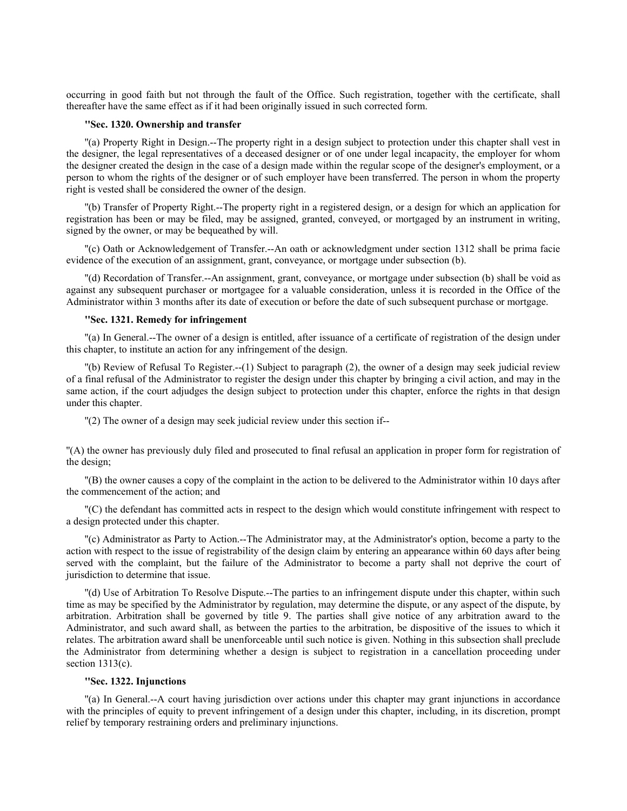occurring in good faith but not through the fault of the Office. Such registration, together with the certificate, shall thereafter have the same effect as if it had been originally issued in such corrected form.

# **''Sec. 1320. Ownership and transfer**

''(a) Property Right in Design.--The property right in a design subject to protection under this chapter shall vest in the designer, the legal representatives of a deceased designer or of one under legal incapacity, the employer for whom the designer created the design in the case of a design made within the regular scope of the designer's employment, or a person to whom the rights of the designer or of such employer have been transferred. The person in whom the property right is vested shall be considered the owner of the design.

''(b) Transfer of Property Right.--The property right in a registered design, or a design for which an application for registration has been or may be filed, may be assigned, granted, conveyed, or mortgaged by an instrument in writing, signed by the owner, or may be bequeathed by will.

''(c) Oath or Acknowledgement of Transfer.--An oath or acknowledgment under section 1312 shall be prima facie evidence of the execution of an assignment, grant, conveyance, or mortgage under subsection (b).

''(d) Recordation of Transfer.--An assignment, grant, conveyance, or mortgage under subsection (b) shall be void as against any subsequent purchaser or mortgagee for a valuable consideration, unless it is recorded in the Office of the Administrator within 3 months after its date of execution or before the date of such subsequent purchase or mortgage.

## **''Sec. 1321. Remedy for infringement**

''(a) In General.--The owner of a design is entitled, after issuance of a certificate of registration of the design under this chapter, to institute an action for any infringement of the design.

''(b) Review of Refusal To Register.--(1) Subject to paragraph (2), the owner of a design may seek judicial review of a final refusal of the Administrator to register the design under this chapter by bringing a civil action, and may in the same action, if the court adjudges the design subject to protection under this chapter, enforce the rights in that design under this chapter.

''(2) The owner of a design may seek judicial review under this section if--

''(A) the owner has previously duly filed and prosecuted to final refusal an application in proper form for registration of the design;

''(B) the owner causes a copy of the complaint in the action to be delivered to the Administrator within 10 days after the commencement of the action; and

''(C) the defendant has committed acts in respect to the design which would constitute infringement with respect to a design protected under this chapter.

''(c) Administrator as Party to Action.--The Administrator may, at the Administrator's option, become a party to the action with respect to the issue of registrability of the design claim by entering an appearance within 60 days after being served with the complaint, but the failure of the Administrator to become a party shall not deprive the court of jurisdiction to determine that issue.

''(d) Use of Arbitration To Resolve Dispute.--The parties to an infringement dispute under this chapter, within such time as may be specified by the Administrator by regulation, may determine the dispute, or any aspect of the dispute, by arbitration. Arbitration shall be governed by title 9. The parties shall give notice of any arbitration award to the Administrator, and such award shall, as between the parties to the arbitration, be dispositive of the issues to which it relates. The arbitration award shall be unenforceable until such notice is given. Nothing in this subsection shall preclude the Administrator from determining whether a design is subject to registration in a cancellation proceeding under section 1313(c).

# **''Sec. 1322. Injunctions**

''(a) In General.--A court having jurisdiction over actions under this chapter may grant injunctions in accordance with the principles of equity to prevent infringement of a design under this chapter, including, in its discretion, prompt relief by temporary restraining orders and preliminary injunctions.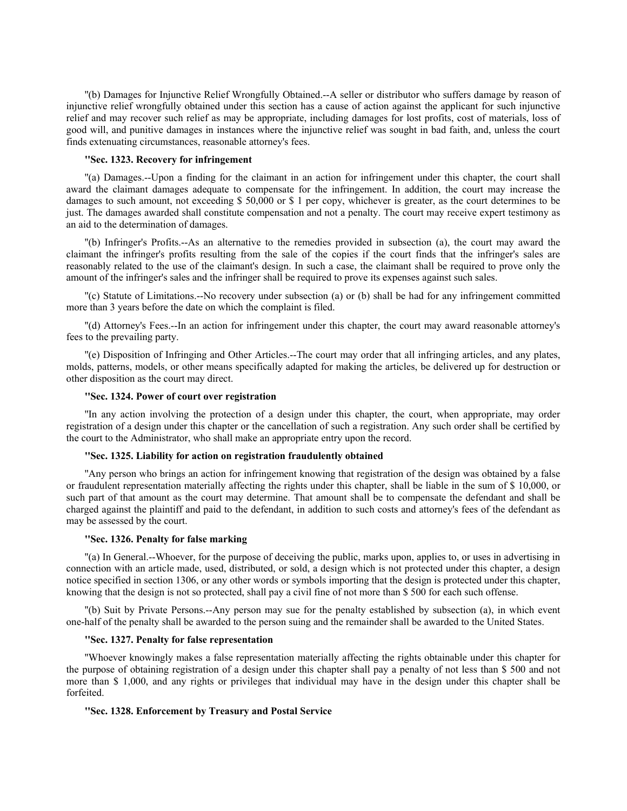''(b) Damages for Injunctive Relief Wrongfully Obtained.--A seller or distributor who suffers damage by reason of injunctive relief wrongfully obtained under this section has a cause of action against the applicant for such injunctive relief and may recover such relief as may be appropriate, including damages for lost profits, cost of materials, loss of good will, and punitive damages in instances where the injunctive relief was sought in bad faith, and, unless the court finds extenuating circumstances, reasonable attorney's fees.

### **''Sec. 1323. Recovery for infringement**

''(a) Damages.--Upon a finding for the claimant in an action for infringement under this chapter, the court shall award the claimant damages adequate to compensate for the infringement. In addition, the court may increase the damages to such amount, not exceeding \$ 50,000 or \$ 1 per copy, whichever is greater, as the court determines to be just. The damages awarded shall constitute compensation and not a penalty. The court may receive expert testimony as an aid to the determination of damages.

''(b) Infringer's Profits.--As an alternative to the remedies provided in subsection (a), the court may award the claimant the infringer's profits resulting from the sale of the copies if the court finds that the infringer's sales are reasonably related to the use of the claimant's design. In such a case, the claimant shall be required to prove only the amount of the infringer's sales and the infringer shall be required to prove its expenses against such sales.

''(c) Statute of Limitations.--No recovery under subsection (a) or (b) shall be had for any infringement committed more than 3 years before the date on which the complaint is filed.

''(d) Attorney's Fees.--In an action for infringement under this chapter, the court may award reasonable attorney's fees to the prevailing party.

''(e) Disposition of Infringing and Other Articles.--The court may order that all infringing articles, and any plates, molds, patterns, models, or other means specifically adapted for making the articles, be delivered up for destruction or other disposition as the court may direct.

### **''Sec. 1324. Power of court over registration**

''In any action involving the protection of a design under this chapter, the court, when appropriate, may order registration of a design under this chapter or the cancellation of such a registration. Any such order shall be certified by the court to the Administrator, who shall make an appropriate entry upon the record.

## **''Sec. 1325. Liability for action on registration fraudulently obtained**

''Any person who brings an action for infringement knowing that registration of the design was obtained by a false or fraudulent representation materially affecting the rights under this chapter, shall be liable in the sum of \$ 10,000, or such part of that amount as the court may determine. That amount shall be to compensate the defendant and shall be charged against the plaintiff and paid to the defendant, in addition to such costs and attorney's fees of the defendant as may be assessed by the court.

#### **''Sec. 1326. Penalty for false marking**

''(a) In General.--Whoever, for the purpose of deceiving the public, marks upon, applies to, or uses in advertising in connection with an article made, used, distributed, or sold, a design which is not protected under this chapter, a design notice specified in section 1306, or any other words or symbols importing that the design is protected under this chapter, knowing that the design is not so protected, shall pay a civil fine of not more than \$ 500 for each such offense.

''(b) Suit by Private Persons.--Any person may sue for the penalty established by subsection (a), in which event one-half of the penalty shall be awarded to the person suing and the remainder shall be awarded to the United States.

#### **''Sec. 1327. Penalty for false representation**

''Whoever knowingly makes a false representation materially affecting the rights obtainable under this chapter for the purpose of obtaining registration of a design under this chapter shall pay a penalty of not less than \$ 500 and not more than \$ 1,000, and any rights or privileges that individual may have in the design under this chapter shall be forfeited.

#### **''Sec. 1328. Enforcement by Treasury and Postal Service**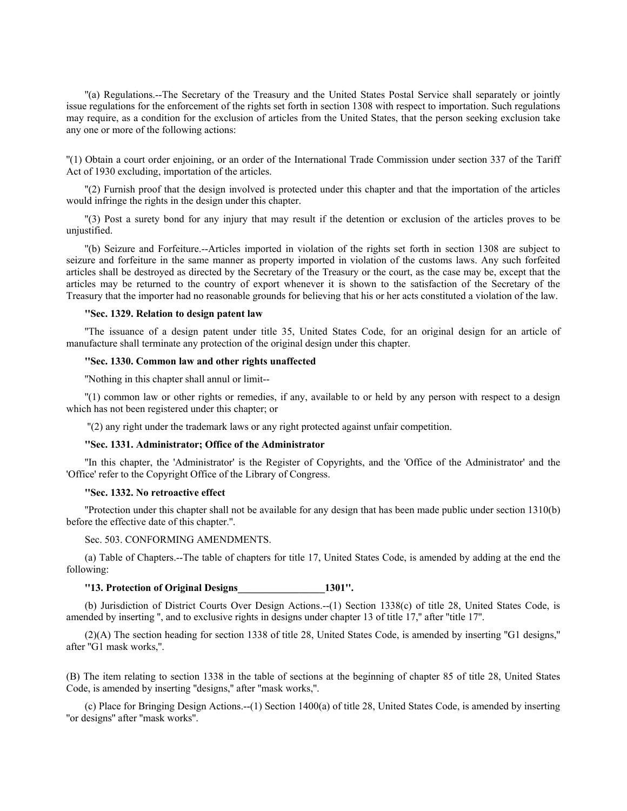''(a) Regulations.--The Secretary of the Treasury and the United States Postal Service shall separately or jointly issue regulations for the enforcement of the rights set forth in section 1308 with respect to importation. Such regulations may require, as a condition for the exclusion of articles from the United States, that the person seeking exclusion take any one or more of the following actions:

''(1) Obtain a court order enjoining, or an order of the International Trade Commission under section 337 of the Tariff Act of 1930 excluding, importation of the articles.

''(2) Furnish proof that the design involved is protected under this chapter and that the importation of the articles would infringe the rights in the design under this chapter.

''(3) Post a surety bond for any injury that may result if the detention or exclusion of the articles proves to be unjustified.

''(b) Seizure and Forfeiture.--Articles imported in violation of the rights set forth in section 1308 are subject to seizure and forfeiture in the same manner as property imported in violation of the customs laws. Any such forfeited articles shall be destroyed as directed by the Secretary of the Treasury or the court, as the case may be, except that the articles may be returned to the country of export whenever it is shown to the satisfaction of the Secretary of the Treasury that the importer had no reasonable grounds for believing that his or her acts constituted a violation of the law.

#### **''Sec. 1329. Relation to design patent law**

''The issuance of a design patent under title 35, United States Code, for an original design for an article of manufacture shall terminate any protection of the original design under this chapter.

## **''Sec. 1330. Common law and other rights unaffected**

''Nothing in this chapter shall annul or limit--

''(1) common law or other rights or remedies, if any, available to or held by any person with respect to a design which has not been registered under this chapter; or

''(2) any right under the trademark laws or any right protected against unfair competition.

## **''Sec. 1331. Administrator; Office of the Administrator**

''In this chapter, the 'Administrator' is the Register of Copyrights, and the 'Office of the Administrator' and the 'Office' refer to the Copyright Office of the Library of Congress.

### **''Sec. 1332. No retroactive effect**

''Protection under this chapter shall not be available for any design that has been made public under section 1310(b) before the effective date of this chapter.''.

Sec. 503. CONFORMING AMENDMENTS.

(a) Table of Chapters.--The table of chapters for title 17, United States Code, is amended by adding at the end the following:

## **''13. Protection of Original Designs\_\_\_\_\_\_\_\_\_\_\_\_\_\_\_\_\_1301''.**

(b) Jurisdiction of District Courts Over Design Actions.--(1) Section 1338(c) of title 28, United States Code, is amended by inserting '', and to exclusive rights in designs under chapter 13 of title 17,'' after ''title 17''.

(2)(A) The section heading for section 1338 of title 28, United States Code, is amended by inserting ''G1 designs,'' after ''G1 mask works,''.

(B) The item relating to section 1338 in the table of sections at the beginning of chapter 85 of title 28, United States Code, is amended by inserting ''designs,'' after ''mask works,''.

(c) Place for Bringing Design Actions.--(1) Section 1400(a) of title 28, United States Code, is amended by inserting ''or designs'' after ''mask works''.